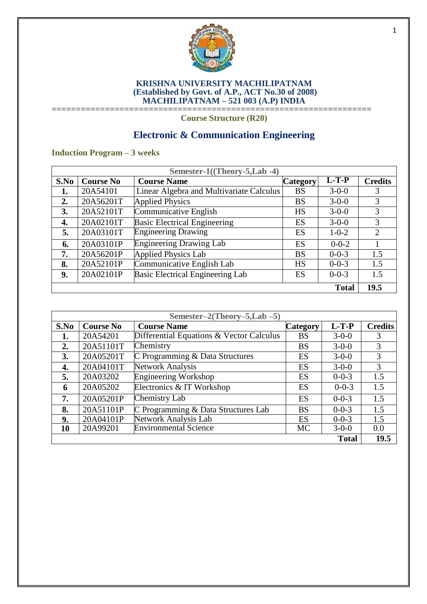

#### **KRISHNA UNIVERSITY MACHILIPATNAM (Established by Govt. of A.P., ACT No.30 of 2008) MACHILIPATNAM – 521 003 (A.P) INDIA** ==================================================================

**Course Structure (R20)**

# **Electronic & Communication Engineering**

# **Induction Program – 3 weeks**

| Semester-1((Theory-5,Lab -4) |                  |                                          |                 |              |                |
|------------------------------|------------------|------------------------------------------|-----------------|--------------|----------------|
| S.No                         | <b>Course No</b> | <b>Course Name</b>                       | <b>Category</b> | $L-T-P$      | <b>Credits</b> |
| 1.                           | 20A54101         | Linear Algebra and Multivariate Calculus | <b>BS</b>       | $3 - 0 - 0$  | 3              |
| $\overline{2}$ .             | 20A56201T        | <b>Applied Physics</b>                   | <b>BS</b>       | $3 - 0 - 0$  | 3              |
| 3.                           | 20A52101T        | Communicative English                    | <b>HS</b>       | $3 - 0 - 0$  | 3              |
| 4.                           | 20A02101T        | <b>Basic Electrical Engineering</b>      | ES              | $3 - 0 - 0$  | 3              |
| 5.                           | 20A03101T        | <b>Engineering Drawing</b>               | ES              | $1 - 0 - 2$  | $\overline{2}$ |
| 6.                           | 20A03101P        | <b>Engineering Drawing Lab</b>           | ES              | $0 - 0 - 2$  |                |
| 7.                           | 20A56201P        | <b>Applied Physics Lab</b>               | <b>BS</b>       | $0 - 0 - 3$  | 1.5            |
| 8.                           | 20A52101P        | Communicative English Lab                | <b>HS</b>       | $0 - 0 - 3$  | 1.5            |
| 9.                           | 20A02101P        | Basic Electrical Engineering Lab         | ES              | $0 - 0 - 3$  | 1.5            |
|                              |                  |                                          |                 | <b>Total</b> | 19.5           |

| Semester-2(Theory-5,Lab $-5$ ) |                  |                                          |                 |              |                |
|--------------------------------|------------------|------------------------------------------|-----------------|--------------|----------------|
| S.No                           | <b>Course No</b> | <b>Course Name</b>                       | <b>Category</b> | $L-T-P$      | <b>Credits</b> |
| 1.                             | 20A54201         | Differential Equations & Vector Calculus | <b>BS</b>       | $3 - 0 - 0$  | 3              |
| 2.                             | 20A51101T        | Chemistry                                | <b>BS</b>       | $3 - 0 - 0$  | 3              |
| 3.                             | 20A05201T        | C Programming & Data Structures          | ES              | $3 - 0 - 0$  | 3              |
| 4.                             | 20A04101T        | Network Analysis                         | ES              | $3 - 0 - 0$  | 3              |
| 5.                             | 20A03202         | <b>Engineering Workshop</b>              | ES              | $0 - 0 - 3$  | 1.5            |
| 6                              | 20A05202         | Electronics & IT Workshop                | ES              | $0 - 0 - 3$  | 1.5            |
| 7.                             | 20A05201P        | Chemistry Lab                            | ES              | $0 - 0 - 3$  | 1.5            |
| 8.                             | 20A51101P        | C Programming & Data Structures Lab      | <b>BS</b>       | $0 - 0 - 3$  | 1.5            |
| 9.                             | 20A04101P        | Network Analysis Lab                     | ES              | $0 - 0 - 3$  | 1.5            |
| 10                             | 20A99201         | <b>Environmental Science</b>             | <b>MC</b>       | $3 - 0 - 0$  | 0.0            |
|                                |                  |                                          |                 | <b>Total</b> | <b>19.5</b>    |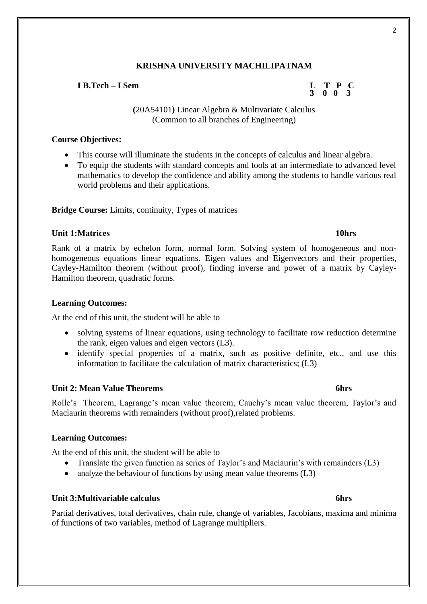### **I B.Tech – I Sem L T P C**

**(**20A54101**)** Linear Algebra & Multivariate Calculus (Common to all branches of Engineering)

#### **Course Objectives:**

- This course will illuminate the students in the concepts of calculus and linear algebra.
- To equip the students with standard concepts and tools at an intermediate to advanced level mathematics to develop the confidence and ability among the students to handle various real world problems and their applications.

#### **Bridge Course:** Limits, continuity, Types of matrices

### **Unit 1:Matrices 10hrs**

Rank of a matrix by echelon form, normal form. Solving system of homogeneous and nonhomogeneous equations linear equations. Eigen values and Eigenvectors and their properties, Cayley-Hamilton theorem (without proof), finding inverse and power of a matrix by Cayley-Hamilton theorem, quadratic forms.

#### **Learning Outcomes:**

At the end of this unit, the student will be able to

- solving systems of linear equations, using technology to facilitate row reduction determine the rank, eigen values and eigen vectors (L3).
- identify special properties of a matrix, such as positive definite, etc., and use this information to facilitate the calculation of matrix characteristics; (L3)

#### **Unit 2: Mean Value Theorems 6hrs**

Rolle's Theorem, Lagrange's mean value theorem, Cauchy's mean value theorem, Taylor's and Maclaurin theorems with remainders (without proof),related problems.

#### **Learning Outcomes:**

At the end of this unit, the student will be able to

- Translate the given function as series of Taylor's and Maclaurin's with remainders (L3)
- analyze the behaviour of functions by using mean value theorems (L3)

# **Unit 3:Multivariable calculus 6hrs**

Partial derivatives, total derivatives, chain rule, change of variables, Jacobians, maxima and minima of functions of two variables, method of Lagrange multipliers.

# **3 0 0 3**

#### $\mathfrak{p}$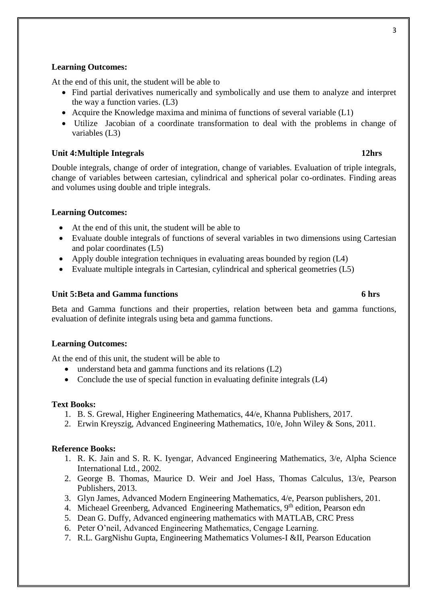# **Learning Outcomes:**

At the end of this unit, the student will be able to

- Find partial derivatives numerically and symbolically and use them to analyze and interpret the way a function varies. (L3)
- Acquire the Knowledge maxima and minima of functions of several variable (L1)
- Utilize Jacobian of a coordinate transformation to deal with the problems in change of variables (L3)

#### **Unit 4:Multiple Integrals 12hrs**

Double integrals, change of order of integration, change of variables. Evaluation of triple integrals, change of variables between cartesian, cylindrical and spherical polar co-ordinates. Finding areas and volumes using double and triple integrals.

### **Learning Outcomes:**

- At the end of this unit, the student will be able to
- Evaluate double integrals of functions of several variables in two dimensions using Cartesian and polar coordinates (L5)
- Apply double integration techniques in evaluating areas bounded by region (L4)
- Evaluate multiple integrals in Cartesian, cylindrical and spherical geometries (L5)

### **Unit 5:Beta and Gamma functions 6 hrs**

Beta and Gamma functions and their properties, relation between beta and gamma functions, evaluation of definite integrals using beta and gamma functions.

#### **Learning Outcomes:**

At the end of this unit, the student will be able to

- understand beta and gamma functions and its relations (L2)
- Conclude the use of special function in evaluating definite integrals (L4)

#### **Text Books:**

- 1. B. S. Grewal, Higher Engineering Mathematics, 44/e, Khanna Publishers, 2017.
- 2. Erwin Kreyszig, Advanced Engineering Mathematics, 10/e, John Wiley & Sons, 2011.

#### **Reference Books:**

- 1. R. K. Jain and S. R. K. Iyengar, Advanced Engineering Mathematics, 3/e, Alpha Science International Ltd., 2002.
- 2. George B. Thomas, Maurice D. Weir and Joel Hass, Thomas Calculus, 13/e, Pearson Publishers, 2013.
- 3. Glyn James, Advanced Modern Engineering Mathematics, 4/e, Pearson publishers, 201.
- 4. Micheael Greenberg, Advanced Engineering Mathematics, 9<sup>th</sup> edition, Pearson edn
- 5. Dean G. Duffy, Advanced engineering mathematics with MATLAB, CRC Press
- 6. Peter O'neil, Advanced Engineering Mathematics, Cengage Learning.
- 7. R.L. GargNishu Gupta, Engineering Mathematics Volumes-I &II, Pearson Education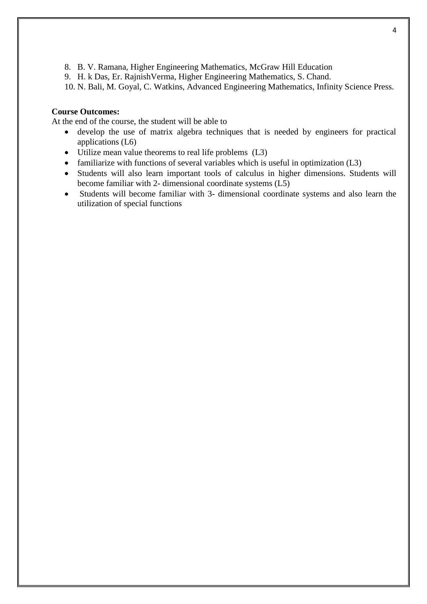- 8. B. V. Ramana, Higher Engineering Mathematics, McGraw Hill Education
- 9. H. k Das, Er. RajnishVerma, Higher Engineering Mathematics, S. Chand.

10. N. Bali, M. Goyal, C. Watkins, Advanced Engineering Mathematics, Infinity Science Press.

# **Course Outcomes:**

At the end of the course, the student will be able to

- develop the use of matrix algebra techniques that is needed by engineers for practical applications (L6)
- Utilize mean value theorems to real life problems (L3)
- familiarize with functions of several variables which is useful in optimization  $(L3)$
- Students will also learn important tools of calculus in higher dimensions. Students will become familiar with 2- dimensional coordinate systems (L5)
- Students will become familiar with 3- dimensional coordinate systems and also learn the utilization of special functions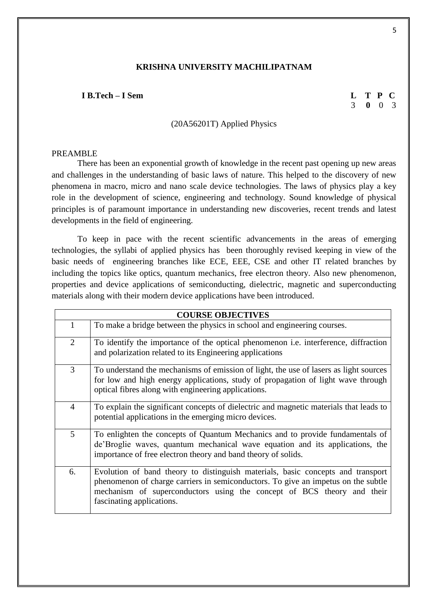#### **I B.Tech – I Sem L T P C**

#### (20A56201T) Applied Physics

#### PREAMBLE

There has been an exponential growth of knowledge in the recent past opening up new areas and challenges in the understanding of basic laws of nature. This helped to the discovery of new phenomena in macro, micro and nano scale device technologies. The laws of physics play a key role in the development of science, engineering and technology. Sound knowledge of physical principles is of paramount importance in understanding new discoveries, recent trends and latest developments in the field of engineering.

To keep in pace with the recent scientific advancements in the areas of emerging technologies, the syllabi of applied physics has been thoroughly revised keeping in view of the basic needs of engineering branches like ECE, EEE, CSE and other IT related branches by including the topics like optics, quantum mechanics, free electron theory. Also new phenomenon, properties and device applications of semiconducting, dielectric, magnetic and superconducting materials along with their modern device applications have been introduced.

| <b>COURSE OBJECTIVES</b> |                                                                                                                                                                                                                                                                             |  |  |
|--------------------------|-----------------------------------------------------------------------------------------------------------------------------------------------------------------------------------------------------------------------------------------------------------------------------|--|--|
| 1                        | To make a bridge between the physics in school and engineering courses.                                                                                                                                                                                                     |  |  |
| 2                        | To identify the importance of the optical phenomenon <i>i.e.</i> interference, diffraction<br>and polarization related to its Engineering applications                                                                                                                      |  |  |
| 3                        | To understand the mechanisms of emission of light, the use of lasers as light sources<br>for low and high energy applications, study of propagation of light wave through<br>optical fibres along with engineering applications.                                            |  |  |
| 4                        | To explain the significant concepts of dielectric and magnetic materials that leads to<br>potential applications in the emerging micro devices.                                                                                                                             |  |  |
| 5                        | To enlighten the concepts of Quantum Mechanics and to provide fundamentals of<br>de'Broglie waves, quantum mechanical wave equation and its applications, the<br>importance of free electron theory and band theory of solids.                                              |  |  |
| 6.                       | Evolution of band theory to distinguish materials, basic concepts and transport<br>phenomenon of charge carriers in semiconductors. To give an impetus on the subtle<br>mechanism of superconductors using the concept of BCS theory and their<br>fascinating applications. |  |  |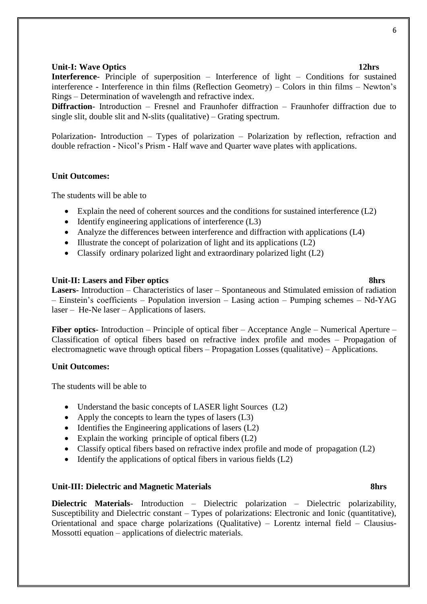#### 6

#### **Unit-I:** Wave Optics 12hrs **12hrs**

**Interference**- Principle of superposition – Interference of light – Conditions for sustained interference - Interference in thin films (Reflection Geometry) – Colors in thin films – Newton's Rings – Determination of wavelength and refractive index.

**Diffraction**- Introduction – Fresnel and Fraunhofer diffraction – Fraunhofer diffraction due to single slit, double slit and N-slits (qualitative) – Grating spectrum.

Polarization- Introduction – Types of polarization – Polarization by reflection, refraction and double refraction - Nicol's Prism - Half wave and Quarter wave plates with applications.

#### **Unit Outcomes:**

The students will be able to

- Explain the need of coherent sources and the conditions for sustained interference (L2)
- $\bullet$  Identify engineering applications of interference (L3)
- Analyze the differences between interference and diffraction with applications (L4)
- $\bullet$  Illustrate the concept of polarization of light and its applications (L2)
- Classify ordinary polarized light and extraordinary polarized light (L2)

#### **Unit-II: Lasers and Fiber optics 8hrs**

**Lasers**- Introduction – Characteristics of laser – Spontaneous and Stimulated emission of radiation – Einstein's coefficients – Population inversion – Lasing action – Pumping schemes – Nd-YAG laser – He-Ne laser – Applications of lasers.

**Fiber optics**- Introduction – Principle of optical fiber – Acceptance Angle – Numerical Aperture – Classification of optical fibers based on refractive index profile and modes – Propagation of electromagnetic wave through optical fibers – Propagation Losses (qualitative) – Applications.

#### **Unit Outcomes:**

The students will be able to

- Understand the basic concepts of LASER light Sources (L2)
- Apply the concepts to learn the types of lasers (L3)
- $\bullet$  Identifies the Engineering applications of lasers (L2)
- Explain the working principle of optical fibers  $(L2)$
- Classify optical fibers based on refractive index profile and mode of propagation (L2)
- $\bullet$  Identify the applications of optical fibers in various fields (L2)

#### **Unit-III: Dielectric and Magnetic Materials 8hrs**

**Dielectric Materials**- Introduction – Dielectric polarization – Dielectric polarizability, Susceptibility and Dielectric constant – Types of polarizations: Electronic and Ionic (quantitative), Orientational and space charge polarizations (Qualitative) – Lorentz internal field – Clausius-Mossotti equation – applications of dielectric materials.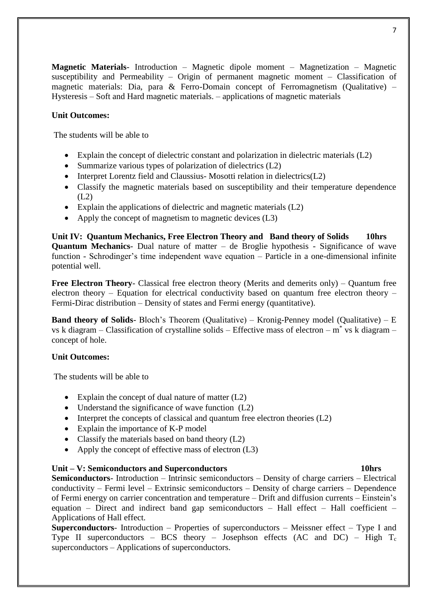**Magnetic Materials**- Introduction – Magnetic dipole moment – Magnetization – Magnetic susceptibility and Permeability – Origin of permanent magnetic moment – Classification of magnetic materials: Dia, para & Ferro-Domain concept of Ferromagnetism (Qualitative) – Hysteresis – Soft and Hard magnetic materials. – applications of magnetic materials

# **Unit Outcomes:**

The students will be able to

- Explain the concept of dielectric constant and polarization in dielectric materials (L2)
- Summarize various types of polarization of dielectrics  $(L2)$
- Interpret Lorentz field and Claussius-Mosotti relation in dielectrics(L2)
- Classify the magnetic materials based on susceptibility and their temperature dependence  $(L2)$
- Explain the applications of dielectric and magnetic materials  $(L2)$
- Apply the concept of magnetism to magnetic devices (L3)

**Unit IV: Quantum Mechanics, Free Electron Theory and Band theory of Solids 10hrs Quantum Mechanics**- Dual nature of matter – de Broglie hypothesis - Significance of wave function - Schrodinger's time independent wave equation – Particle in a one-dimensional infinite potential well.

**Free Electron Theory**- Classical free electron theory (Merits and demerits only) – Quantum free electron theory – Equation for electrical conductivity based on quantum free electron theory – Fermi**-**Dirac distribution – Density of states and Fermi energy (quantitative).

**Band theory of Solids-** Bloch's Theorem (Qualitative) – Kronig-Penney model (Qualitative) – E vs k diagram – Classification of crystalline solids – Effective mass of electron –  $m^*$  vs k diagram – concept of hole.

# **Unit Outcomes:**

The students will be able to

- Explain the concept of dual nature of matter (L2)
- Understand the significance of wave function  $(L2)$
- Interpret the concepts of classical and quantum free electron theories  $(L2)$
- Explain the importance of K-P model
- Classify the materials based on band theory  $(L2)$
- Apply the concept of effective mass of electron (L3)

# **Unit – V: Semiconductors and Superconductors 10hrs**

**Semiconductors**- Introduction – Intrinsic semiconductors – Density of charge carriers – Electrical conductivity – Fermi level – Extrinsic semiconductors – Density of charge carriers – Dependence of Fermi energy on carrier concentration and temperature – Drift and diffusion currents – Einstein's equation – Direct and indirect band gap semiconductors – Hall effect – Hall coefficient – Applications of Hall effect.

**Superconductors**- Introduction – Properties of superconductors – Meissner effect – Type I and Type II superconductors – BCS theory – Josephson effects  $(AC \text{ and } DC)$  – High  $T_c$ superconductors – Applications of superconductors.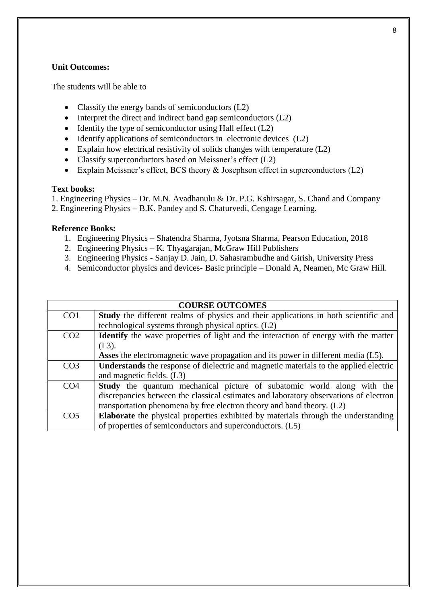# **Unit Outcomes:**

The students will be able to

- Classify the energy bands of semiconductors  $(L2)$
- Interpret the direct and indirect band gap semiconductors  $(L2)$
- $\bullet$  Identify the type of semiconductor using Hall effect (L2)
- $\bullet$  Identify applications of semiconductors in electronic devices (L2)
- Explain how electrical resistivity of solids changes with temperature (L2)
- Classify superconductors based on Meissner's effect (L2)
- Explain Meissner's effect, BCS theory & Josephson effect in superconductors (L2)

#### **Text books:**

1. Engineering Physics – Dr. M.N. Avadhanulu & Dr. P.G. Kshirsagar, S. Chand and Company

2. Engineering Physics – B.K. Pandey and S. Chaturvedi, Cengage Learning.

# **Reference Books:**

- 1. Engineering Physics Shatendra Sharma, Jyotsna Sharma, Pearson Education, 2018
- 2. Engineering Physics K. Thyagarajan, McGraw Hill Publishers
- 3. Engineering Physics Sanjay D. Jain, D. Sahasrambudhe and Girish, University Press
- 4. Semiconductor physics and devices- Basic principle Donald A, Neamen, Mc Graw Hill.

| <b>COURSE OUTCOMES</b> |                                                                                            |  |  |
|------------------------|--------------------------------------------------------------------------------------------|--|--|
| CO <sub>1</sub>        | <b>Study</b> the different realms of physics and their applications in both scientific and |  |  |
|                        | technological systems through physical optics. (L2)                                        |  |  |
| CO <sub>2</sub>        | <b>Identify</b> the wave properties of light and the interaction of energy with the matter |  |  |
|                        | $(L3)$ .                                                                                   |  |  |
|                        | <b>Asses</b> the electromagnetic wave propagation and its power in different media (L5).   |  |  |
| CO <sub>3</sub>        | Understands the response of dielectric and magnetic materials to the applied electric      |  |  |
|                        | and magnetic fields. (L3)                                                                  |  |  |
| CO <sub>4</sub>        | <b>Study</b> the quantum mechanical picture of subatomic world along with the              |  |  |
|                        | discrepancies between the classical estimates and laboratory observations of electron      |  |  |
|                        | transportation phenomena by free electron theory and band theory. (L2)                     |  |  |
| CO <sub>5</sub>        | <b>Elaborate</b> the physical properties exhibited by materials through the understanding  |  |  |
|                        | of properties of semiconductors and superconductors. (L5)                                  |  |  |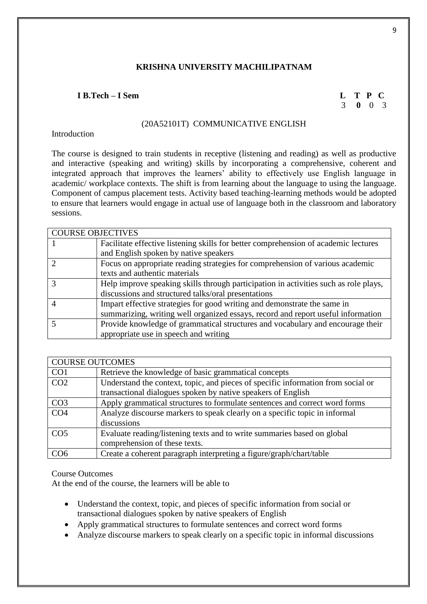# **I B.Tech – I Sem L T P C**

# 3 **0** 0 3

# (20A52101T) COMMUNICATIVE ENGLISH

## **Introduction**

The course is designed to train students in receptive (listening and reading) as well as productive and interactive (speaking and writing) skills by incorporating a comprehensive, coherent and integrated approach that improves the learners' ability to effectively use English language in academic/ workplace contexts. The shift is from learning about the language to using the language. Component of campus placement tests. Activity based teaching-learning methods would be adopted to ensure that learners would engage in actual use of language both in the classroom and laboratory sessions.

| <b>COURSE OBJECTIVES</b> |                                                                                      |
|--------------------------|--------------------------------------------------------------------------------------|
|                          | Facilitate effective listening skills for better comprehension of academic lectures  |
|                          | and English spoken by native speakers                                                |
|                          | Focus on appropriate reading strategies for comprehension of various academic        |
|                          | texts and authentic materials                                                        |
|                          | Help improve speaking skills through participation in activities such as role plays, |
|                          | discussions and structured talks/oral presentations                                  |
|                          | Impart effective strategies for good writing and demonstrate the same in             |
|                          | summarizing, writing well organized essays, record and report useful information     |
|                          | Provide knowledge of grammatical structures and vocabulary and encourage their       |
|                          | appropriate use in speech and writing                                                |

| <b>COURSE OUTCOMES</b> |                                                                                  |
|------------------------|----------------------------------------------------------------------------------|
| CO <sub>1</sub>        | Retrieve the knowledge of basic grammatical concepts                             |
| CO <sub>2</sub>        | Understand the context, topic, and pieces of specific information from social or |
|                        | transactional dialogues spoken by native speakers of English                     |
| CO <sub>3</sub>        | Apply grammatical structures to formulate sentences and correct word forms       |
| CO <sub>4</sub>        | Analyze discourse markers to speak clearly on a specific topic in informal       |
|                        | discussions                                                                      |
| CO <sub>5</sub>        | Evaluate reading/listening texts and to write summaries based on global          |
|                        | comprehension of these texts.                                                    |
| CO <sub>6</sub>        | Create a coherent paragraph interpreting a figure/graph/chart/table              |

# Course Outcomes

At the end of the course, the learners will be able to

- Understand the context, topic, and pieces of specific information from social or transactional dialogues spoken by native speakers of English
- Apply grammatical structures to formulate sentences and correct word forms
- Analyze discourse markers to speak clearly on a specific topic in informal discussions

9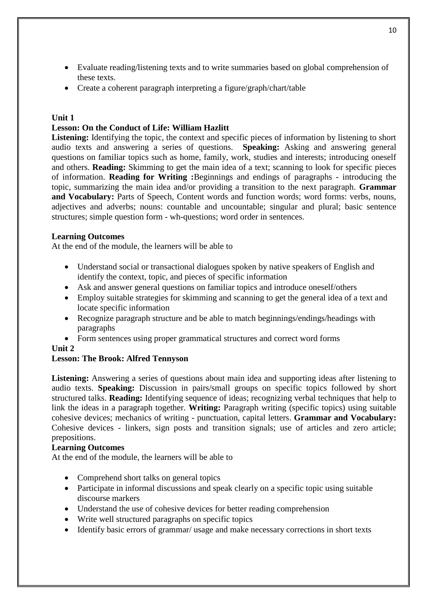- Evaluate reading/listening texts and to write summaries based on global comprehension of these texts.
- Create a coherent paragraph interpreting a figure/graph/chart/table

# **Unit 1**

# **Lesson: On the Conduct of Life: William Hazlitt**

Listening: Identifying the topic, the context and specific pieces of information by listening to short audio texts and answering a series of questions. **Speaking:** Asking and answering general questions on familiar topics such as home, family, work, studies and interests; introducing oneself and others. **Reading:** Skimming to get the main idea of a text; scanning to look for specific pieces of information. **Reading for Writing :**Beginnings and endings of paragraphs - introducing the topic, summarizing the main idea and/or providing a transition to the next paragraph. **Grammar**  and Vocabulary: Parts of Speech, Content words and function words; word forms: verbs, nouns, adjectives and adverbs; nouns: countable and uncountable; singular and plural; basic sentence structures; simple question form - wh-questions; word order in sentences.

# **Learning Outcomes**

At the end of the module, the learners will be able to

- Understand social or transactional dialogues spoken by native speakers of English and identify the context, topic, and pieces of specific information
- Ask and answer general questions on familiar topics and introduce oneself/others
- Employ suitable strategies for skimming and scanning to get the general idea of a text and locate specific information
- Recognize paragraph structure and be able to match beginnings/endings/headings with paragraphs
- Form sentences using proper grammatical structures and correct word forms

# **Unit 2**

# **Lesson: The Brook: Alfred Tennyson**

**Listening:** Answering a series of questions about main idea and supporting ideas after listening to audio texts. **Speaking:** Discussion in pairs/small groups on specific topics followed by short structured talks. **Reading:** Identifying sequence of ideas; recognizing verbal techniques that help to link the ideas in a paragraph together. **Writing:** Paragraph writing (specific topics) using suitable cohesive devices; mechanics of writing - punctuation, capital letters. **Grammar and Vocabulary:** Cohesive devices - linkers, sign posts and transition signals; use of articles and zero article; prepositions.

# **Learning Outcomes**

At the end of the module, the learners will be able to

- Comprehend short talks on general topics
- Participate in informal discussions and speak clearly on a specific topic using suitable discourse markers
- Understand the use of cohesive devices for better reading comprehension
- Write well structured paragraphs on specific topics
- Identify basic errors of grammar/ usage and make necessary corrections in short texts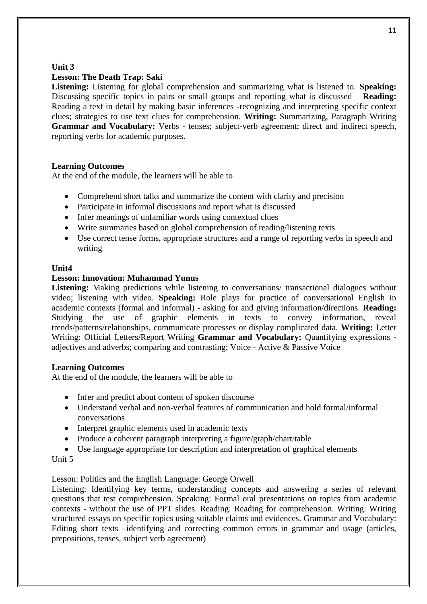# **Unit 3**

# **Lesson: The Death Trap: Saki**

**Listening:** Listening for global comprehension and summarizing what is listened to. **Speaking:** Discussing specific topics in pairs or small groups and reporting what is discussed **Reading:** Reading a text in detail by making basic inferences -recognizing and interpreting specific context clues; strategies to use text clues for comprehension. **Writing:** Summarizing, Paragraph Writing **Grammar and Vocabulary:** Verbs - tenses; subject-verb agreement; direct and indirect speech, reporting verbs for academic purposes.

# **Learning Outcomes**

At the end of the module, the learners will be able to

- Comprehend short talks and summarize the content with clarity and precision
- Participate in informal discussions and report what is discussed
- Infer meanings of unfamiliar words using contextual clues
- Write summaries based on global comprehension of reading/listening texts
- Use correct tense forms, appropriate structures and a range of reporting verbs in speech and writing

# **Unit4**

# **Lesson: Innovation: Muhammad Yunus**

Listening: Making predictions while listening to conversations/ transactional dialogues without video; listening with video. **Speaking:** Role plays for practice of conversational English in academic contexts (formal and informal) - asking for and giving information/directions. **Reading:** Studying the use of graphic elements in texts to convey information, reveal trends/patterns/relationships, communicate processes or display complicated data. **Writing:** Letter Writing: Official Letters/Report Writing **Grammar and Vocabulary:** Quantifying expressions adjectives and adverbs; comparing and contrasting; Voice - Active & Passive Voice

# **Learning Outcomes**

At the end of the module, the learners will be able to

- Infer and predict about content of spoken discourse
- Understand verbal and non-verbal features of communication and hold formal/informal conversations
- Interpret graphic elements used in academic texts
- Produce a coherent paragraph interpreting a figure/graph/chart/table
- Use language appropriate for description and interpretation of graphical elements

# Unit 5

# Lesson: Politics and the English Language: George Orwell

Listening: Identifying key terms, understanding concepts and answering a series of relevant questions that test comprehension. Speaking: Formal oral presentations on topics from academic contexts - without the use of PPT slides. Reading: Reading for comprehension. Writing: Writing structured essays on specific topics using suitable claims and evidences. Grammar and Vocabulary: Editing short texts –identifying and correcting common errors in grammar and usage (articles, prepositions, tenses, subject verb agreement)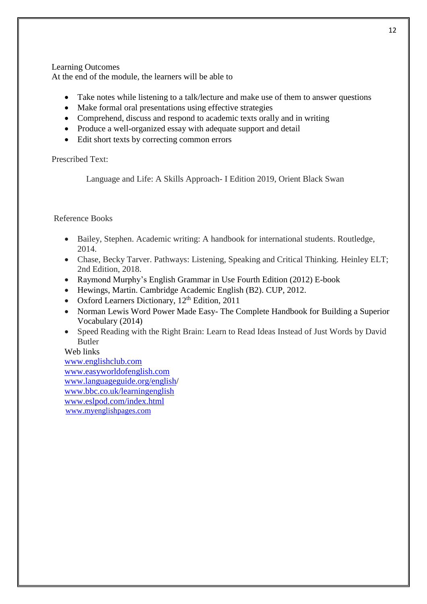## Learning Outcomes

At the end of the module, the learners will be able to

- Take notes while listening to a talk/lecture and make use of them to answer questions
- Make formal oral presentations using effective strategies
- Comprehend, discuss and respond to academic texts orally and in writing
- Produce a well-organized essay with adequate support and detail
- Edit short texts by correcting common errors

# Prescribed Text:

Language and Life: A Skills Approach- I Edition 2019, Orient Black Swan

# Reference Books

- Bailey, Stephen. Academic writing: A handbook for international students. Routledge, 2014.
- Chase, Becky Tarver. Pathways: Listening, Speaking and Critical Thinking. Heinley ELT; 2nd Edition, 2018.
- Raymond Murphy's English Grammar in Use Fourth Edition (2012) E-book
- Hewings, Martin. Cambridge Academic English (B2). CUP, 2012.
- Oxford Learners Dictionary,  $12<sup>th</sup>$  Edition, 2011
- Norman Lewis Word Power Made Easy- The Complete Handbook for Building a Superior Vocabulary (2014)
- Speed Reading with the Right Brain: Learn to Read Ideas Instead of Just Words by David Butler

# Web links

[www.englishclub.com](http://www.englishclub.com/) [www.easyworldofenglish.com](http://www.easyworldofenglish.com/) [www.languageguide.org/english/](http://www.languageguide.org/english) [www.bbc.co.uk/learningenglish](http://www.bbc.co.uk/learningenglish) [www.eslpod.com/index.html](http://www.eslpod.com/index.html) [www.myenglishpages.com](http://www.myenglishpages.com/)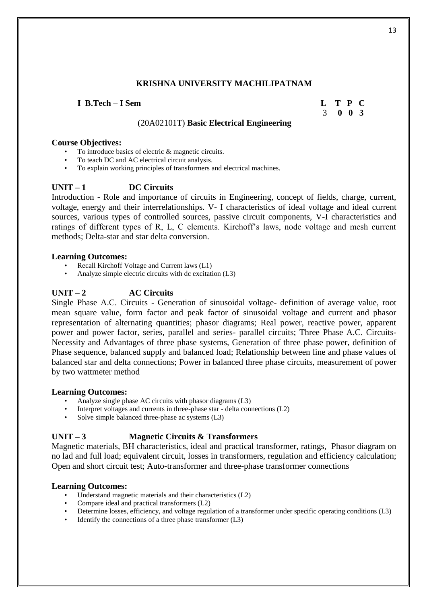# **I B.Tech – I Sem L T P C**

# 3 **0 0 3**

# (20A02101T) **Basic Electrical Engineering**

#### **Course Objectives:**

- To introduce basics of electric & magnetic circuits.
- To teach DC and AC electrical circuit analysis.
- To explain working principles of transformers and electrical machines.

# **UNIT – 1 DC Circuits**

Introduction - Role and importance of circuits in Engineering, concept of fields, charge, current, voltage, energy and their interrelationships. V- I characteristics of ideal voltage and ideal current sources, various types of controlled sources, passive circuit components, V-I characteristics and ratings of different types of R, L, C elements. Kirchoff's laws, node voltage and mesh current methods; Delta-star and star delta conversion.

#### **Learning Outcomes:**

- Recall Kirchoff Voltage and Current laws (L1)
- Analyze simple electric circuits with dc excitation (L3)

# **UNIT – 2 AC Circuits**

Single Phase A.C. Circuits - Generation of sinusoidal voltage- definition of average value, root mean square value, form factor and peak factor of sinusoidal voltage and current and phasor representation of alternating quantities; phasor diagrams; Real power, reactive power, apparent power and power factor, series, parallel and series- parallel circuits; Three Phase A.C. Circuits-Necessity and Advantages of three phase systems, Generation of three phase power, definition of Phase sequence, balanced supply and balanced load; Relationship between line and phase values of balanced star and delta connections; Power in balanced three phase circuits, measurement of power by two wattmeter method

#### **Learning Outcomes:**

- Analyze single phase AC circuits with phasor diagrams (L3)
- Interpret voltages and currents in three-phase star delta connections (L2)
- Solve simple balanced three-phase ac systems (L3)

# **UNIT – 3 Magnetic Circuits & Transformers**

Magnetic materials, BH characteristics, ideal and practical transformer, ratings, Phasor diagram on no lad and full load; equivalent circuit, losses in transformers, regulation and efficiency calculation; Open and short circuit test; Auto-transformer and three-phase transformer connections

# **Learning Outcomes:**

- Understand magnetic materials and their characteristics (L2)
- Compare ideal and practical transformers (L2)
- Determine losses, efficiency, and voltage regulation of a transformer under specific operating conditions (L3)
- Identify the connections of a three phase transformer  $(L3)$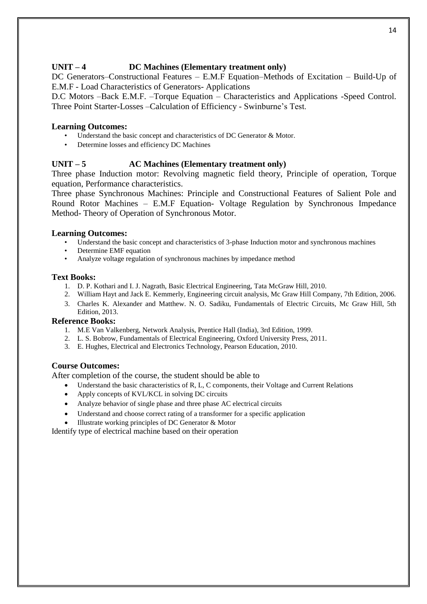# UNIT – 4 **DC Machines (Elementary treatment only)**

DC Generators–Constructional Features – E.M.F Equation–Methods of Excitation – Build-Up of E.M.F - Load Characteristics of Generators- Applications

D.C Motors –Back E.M.F. –Torque Equation – Characteristics and Applications -Speed Control. Three Point Starter-Losses –Calculation of Efficiency - Swinburne's Test.

# **Learning Outcomes:**

- Understand the basic concept and characteristics of DC Generator & Motor.
- Determine losses and efficiency DC Machines

# **UNIT – 5 AC Machines (Elementary treatment only)**

Three phase Induction motor: Revolving magnetic field theory, Principle of operation, Torque equation, Performance characteristics.

Three phase Synchronous Machines: Principle and Constructional Features of Salient Pole and Round Rotor Machines – E.M.F Equation- Voltage Regulation by Synchronous Impedance Method- Theory of Operation of Synchronous Motor.

# **Learning Outcomes:**

- Understand the basic concept and characteristics of 3-phase Induction motor and synchronous machines
- Determine EMF equation
- Analyze voltage regulation of synchronous machines by impedance method

### **Text Books:**

- 1. D. P. Kothari and I. J. Nagrath, Basic Electrical Engineering, Tata McGraw Hill, 2010.
- 2. William Hayt and Jack E. Kemmerly, Engineering circuit analysis, Mc Graw Hill Company, 7th Edition, 2006.
- 3. Charles K. Alexander and Matthew. N. O. Sadiku, Fundamentals of Electric Circuits, Mc Graw Hill, 5th Edition, 2013.

# **Reference Books:**

- 1. M.E Van Valkenberg, Network Analysis, Prentice Hall (India), 3rd Edition, 1999.
- 2. L. S. Bobrow, Fundamentals of Electrical Engineering, Oxford University Press, 2011.
- 3. E. Hughes, Electrical and Electronics Technology, Pearson Education, 2010.

# **Course Outcomes:**

After completion of the course, the student should be able to

- Understand the basic characteristics of R, L, C components, their Voltage and Current Relations
- Apply concepts of KVL/KCL in solving DC circuits
- Analyze behavior of single phase and three phase AC electrical circuits
- Understand and choose correct rating of a transformer for a specific application
- Illustrate working principles of DC Generator & Motor

Identify type of electrical machine based on their operation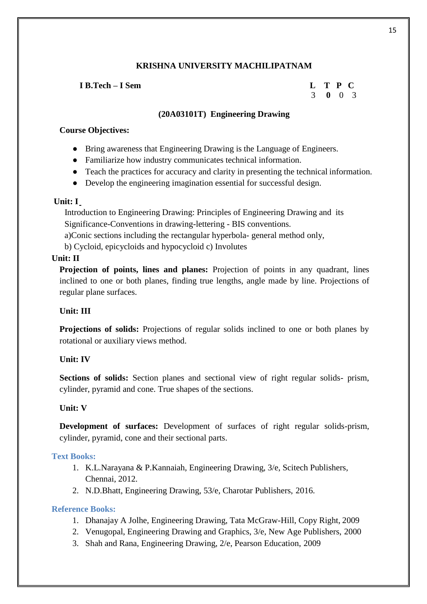## **I B.Tech – I Sem L T P C**

# 3 **0** 0 3

# **(20A03101T) Engineering Drawing**

# **Course Objectives:**

- Bring awareness that Engineering Drawing is the Language of Engineers.
- Familiarize how industry communicates technical information.
- Teach the practices for accuracy and clarity in presenting the technical information.
- Develop the engineering imagination essential for successful design.

# **Unit: I**

 Introduction to Engineering Drawing: Principles of Engineering Drawing and its Significance-Conventions in drawing-lettering - BIS conventions.

a)Conic sections including the rectangular hyperbola- general method only,

b) Cycloid, epicycloids and hypocycloid c) Involutes

# **Unit: II**

**Projection of points, lines and planes:** Projection of points in any quadrant, lines inclined to one or both planes, finding true lengths, angle made by line. Projections of regular plane surfaces.

# **Unit: III**

**Projections of solids:** Projections of regular solids inclined to one or both planes by rotational or auxiliary views method.

# **Unit: IV**

**Sections of solids:** Section planes and sectional view of right regular solids- prism, cylinder, pyramid and cone. True shapes of the sections.

# **Unit: V**

**Development of surfaces:** Development of surfaces of right regular solids-prism, cylinder, pyramid, cone and their sectional parts.

# **Text Books:**

- 1. K.L.Narayana & P.Kannaiah, Engineering Drawing, 3/e, Scitech Publishers, Chennai, 2012.
- 2. N.D.Bhatt, Engineering Drawing, 53/e, Charotar Publishers, 2016.

# **Reference Books:**

- 1. Dhanajay A Jolhe, Engineering Drawing, Tata McGraw-Hill, Copy Right, 2009
- 2. Venugopal, Engineering Drawing and Graphics, 3/e, New Age Publishers, 2000
- 3. Shah and Rana, Engineering Drawing, 2/e, Pearson Education, 2009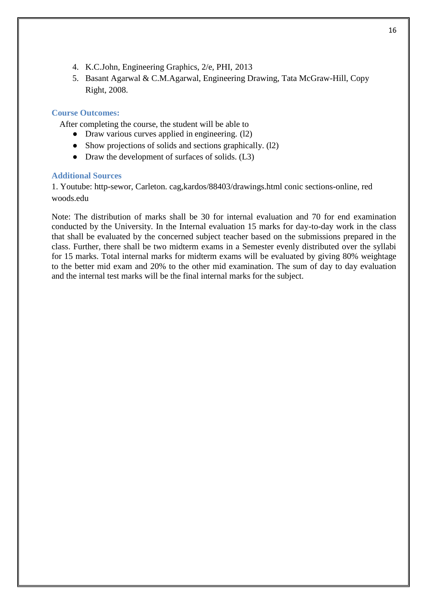- 4. K.C.John, Engineering Graphics, 2/e, PHI, 2013
- 5. Basant Agarwal & C.M.Agarwal, Engineering Drawing, Tata McGraw-Hill, Copy Right, 2008.

## **Course Outcomes:**

After completing the course, the student will be able to

- Draw various curves applied in engineering. (12)
- Show projections of solids and sections graphically. (12)
- Draw the development of surfaces of solids. (L3)

#### **Additional Sources**

1. Youtube: http-sewor, Carleton. cag,kardos/88403/drawings.html conic sections-online, red woods.edu

Note: The distribution of marks shall be 30 for internal evaluation and 70 for end examination conducted by the University. In the Internal evaluation 15 marks for day-to-day work in the class that shall be evaluated by the concerned subject teacher based on the submissions prepared in the class. Further, there shall be two midterm exams in a Semester evenly distributed over the syllabi for 15 marks. Total internal marks for midterm exams will be evaluated by giving 80% weightage to the better mid exam and 20% to the other mid examination. The sum of day to day evaluation and the internal test marks will be the final internal marks for the subject.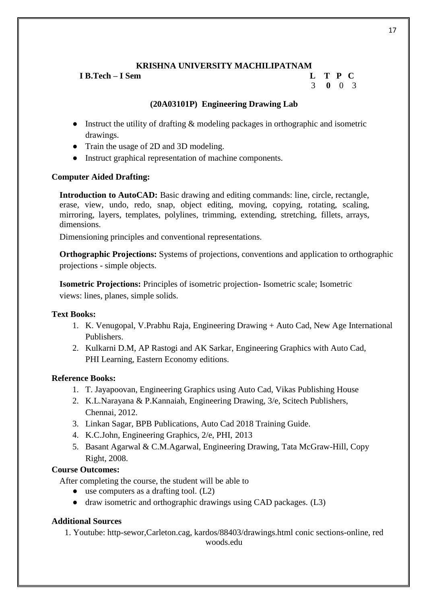**I B.Tech – I Sem L T P C**

# 3 **0** 0 3

# **(20A03101P) Engineering Drawing Lab**

- Instruct the utility of drafting & modeling packages in orthographic and isometric drawings.
- Train the usage of 2D and 3D modeling.
- Instruct graphical representation of machine components.

# **Computer Aided Drafting:**

**Introduction to AutoCAD:** Basic drawing and editing commands: line, circle, rectangle, erase, view, undo, redo, snap, object editing, moving, copying, rotating, scaling, mirroring, layers, templates, polylines, trimming, extending, stretching, fillets, arrays, dimensions.

Dimensioning principles and conventional representations.

**Orthographic Projections:** Systems of projections, conventions and application to orthographic projections - simple objects.

**Isometric Projections:** Principles of isometric projection- Isometric scale; Isometric views: lines, planes, simple solids.

# **Text Books:**

- 1. K. Venugopal, V.Prabhu Raja, Engineering Drawing + Auto Cad, New Age International Publishers.
- 2. Kulkarni D.M, AP Rastogi and AK Sarkar, Engineering Graphics with Auto Cad, PHI Learning, Eastern Economy editions.

# **Reference Books:**

- 1. T. Jayapoovan, Engineering Graphics using Auto Cad, Vikas Publishing House
- 2. K.L.Narayana & P.Kannaiah, Engineering Drawing, 3/e, Scitech Publishers, Chennai, 2012.
- 3. Linkan Sagar, BPB Publications, Auto Cad 2018 Training Guide.
- 4. K.C.John, Engineering Graphics, 2/e, PHI, 2013
- 5. Basant Agarwal & C.M.Agarwal, Engineering Drawing, Tata McGraw-Hill, Copy Right, 2008.

# **Course Outcomes:**

After completing the course, the student will be able to

- $\bullet$  use computers as a drafting tool. (L2)
- draw isometric and orthographic drawings using CAD packages. (L3)

# **Additional Sources**

1. Youtube: http-sewor,Carleton.cag, kardos/88403/drawings.html conic sections-online, red woods.edu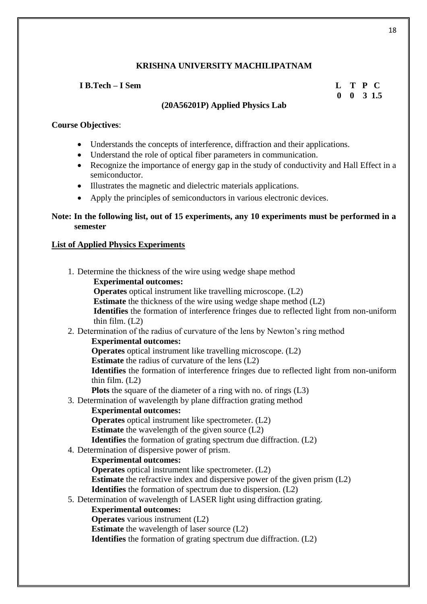# **I B.Tech – I Sem L T P C**

 **0 0 3 1.5**

# **(20A56201P) Applied Physics Lab**

# **Course Objectives**:

- Understands the concepts of interference, diffraction and their applications.
- Understand the role of optical fiber parameters in communication.
- Recognize the importance of energy gap in the study of conductivity and Hall Effect in a semiconductor.
- Illustrates the magnetic and dielectric materials applications.
- Apply the principles of semiconductors in various electronic devices.

# **Note: In the following list, out of 15 experiments, any 10 experiments must be performed in a semester**

# **List of Applied Physics Experiments**

| 1. Determine the thickness of the wire using wedge shape method                          |
|------------------------------------------------------------------------------------------|
| <b>Experimental outcomes:</b>                                                            |
| <b>Operates</b> optical instrument like travelling microscope. (L2)                      |
| <b>Estimate</b> the thickness of the wire using wedge shape method (L2)                  |
| Identifies the formation of interference fringes due to reflected light from non-uniform |
| thin film. $(L2)$                                                                        |
| 2. Determination of the radius of curvature of the lens by Newton's ring method          |
| <b>Experimental outcomes:</b>                                                            |
| <b>Operates</b> optical instrument like travelling microscope. (L2)                      |
| <b>Estimate</b> the radius of curvature of the lens $(L2)$                               |
| Identifies the formation of interference fringes due to reflected light from non-uniform |
| thin film. $(L2)$                                                                        |
| <b>Plots</b> the square of the diameter of a ring with no. of rings $(L3)$               |
| 3. Determination of wavelength by plane diffraction grating method                       |
| <b>Experimental outcomes:</b>                                                            |
| <b>Operates</b> optical instrument like spectrometer. (L2)                               |
| <b>Estimate</b> the wavelength of the given source $(L2)$                                |
| <b>Identifies</b> the formation of grating spectrum due diffraction. (L2)                |
| 4. Determination of dispersive power of prism.                                           |
| <b>Experimental outcomes:</b>                                                            |
| <b>Operates</b> optical instrument like spectrometer. (L2)                               |
| <b>Estimate</b> the refractive index and dispersive power of the given prism (L2)        |
| <b>Identifies</b> the formation of spectrum due to dispersion. (L2)                      |
| 5. Determination of wavelength of LASER light using diffraction grating.                 |
| <b>Experimental outcomes:</b>                                                            |
| <b>Operates</b> various instrument (L2)                                                  |
| <b>Estimate</b> the wavelength of laser source (L2)                                      |
| <b>Identifies</b> the formation of grating spectrum due diffraction. (L2)                |
|                                                                                          |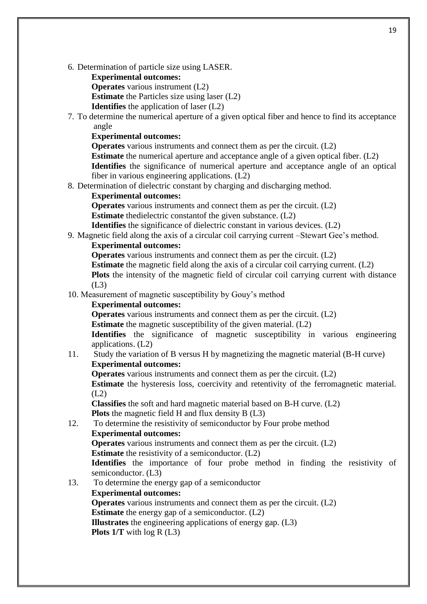6. Determination of particle size using LASER.

**Experimental outcomes:**

**Operates** various instrument (L2) **Estimate** the Particles size using laser (L2)

**Identifies** the application of laser (L2)

7. To determine the numerical aperture of a given optical fiber and hence to find its acceptance angle

# **Experimental outcomes:**

**Operates** various instruments and connect them as per the circuit. (L2)

**Estimate** the numerical aperture and acceptance angle of a given optical fiber. (L2) **Identifies** the significance of numerical aperture and acceptance angle of an optical fiber in various engineering applications. (L2)

8. Determination of dielectric constant by charging and discharging method.

# **Experimental outcomes:**

**Operates** various instruments and connect them as per the circuit. (L2)

**Estimate** thedielectric constantof the given substance. (L2)

**Identifies** the significance of dielectric constant in various devices. (L2)

9. Magnetic field along the axis of a circular coil carrying current –Stewart Gee's method. **Experimental outcomes:**

**Operates** various instruments and connect them as per the circuit. (L2)

**Estimate** the magnetic field along the axis of a circular coil carrying current. (L2)

**Plots** the intensity of the magnetic field of circular coil carrying current with distance (L3)

10. Measurement of magnetic susceptibility by Gouy's method

# **Experimental outcomes:**

**Operates** various instruments and connect them as per the circuit. (L2)

**Estimate** the magnetic susceptibility of the given material. (L2)

**Identifies** the significance of magnetic susceptibility in various engineering applications. (L2)

# 11. Study the variation of B versus H by magnetizing the magnetic material (B-H curve) **Experimental outcomes:**

**Operates** various instruments and connect them as per the circuit. (L2)

**Estimate** the hysteresis loss, coercivity and retentivity of the ferromagnetic material. (L2)

**Classifies** the soft and hard magnetic material based on B-H curve. (L2) **Plots** the magnetic field H and flux density B (L3)

12. To determine the resistivity of semiconductor by Four probe method

# **Experimental outcomes:**

**Operates** various instruments and connect them as per the circuit. (L2)

**Estimate** the resistivity of a semiconductor. (L2)

**Identifies** the importance of four probe method in finding the resistivity of semiconductor. (L3)

13. To determine the energy gap of a semiconductor

# **Experimental outcomes:**

**Operates** various instruments and connect them as per the circuit. (L2)

**Estimate** the energy gap of a semiconductor. (L2)

**Illustrates** the engineering applications of energy gap. (L3) **Plots 1/T** with log R (L3)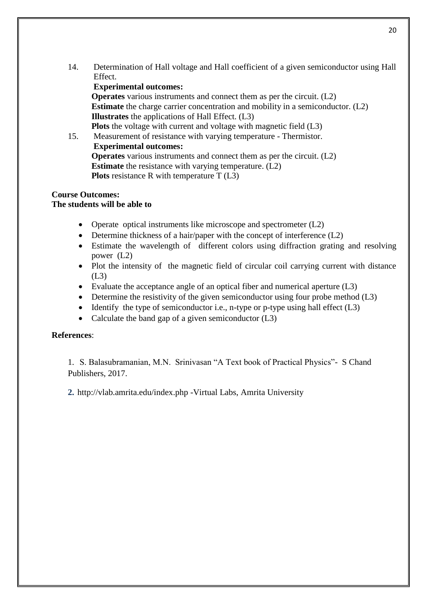14. Determination of Hall voltage and Hall coefficient of a given semiconductor using Hall Effect.

# **Experimental outcomes:**

**Operates** various instruments and connect them as per the circuit. (L2) **Estimate** the charge carrier concentration and mobility in a semiconductor. (L2) **Illustrates** the applications of Hall Effect. (L3) **Plots** the voltage with current and voltage with magnetic field (L3)

15. Measurement of resistance with varying temperature - Thermistor. **Experimental outcomes: Operates** various instruments and connect them as per the circuit. (L2) **Estimate** the resistance with varying temperature. (L2) **Plots** resistance R with temperature T (L3)

# **Course Outcomes:**

# **The students will be able to**

- Operate optical instruments like microscope and spectrometer  $(L2)$
- Determine thickness of a hair/paper with the concept of interference (L2)
- Estimate the wavelength of different colors using diffraction grating and resolving power (L2)
- Plot the intensity of the magnetic field of circular coil carrying current with distance (L3)
- Evaluate the acceptance angle of an optical fiber and numerical aperture (L3)
- Determine the resistivity of the given semiconductor using four probe method (L3)
- Identify the type of semiconductor i.e., n-type or p-type using hall effect  $(L3)$
- Calculate the band gap of a given semiconductor  $(L3)$

# **References**:

1. S. Balasubramanian, M.N. Srinivasan "A Text book of Practical Physics"- S Chand Publishers, 2017.

**2.** http://vlab.amrita.edu/index.php -Virtual Labs, Amrita University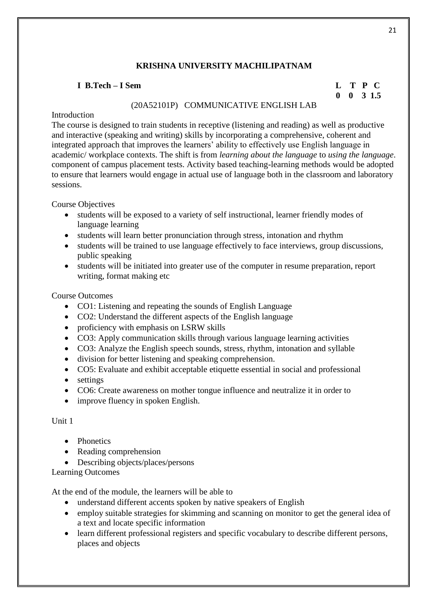#### **I B.Tech – I Sem L T P C**

# **0 0 3 1.5**

#### (20A52101P) COMMUNICATIVE ENGLISH LAB

#### **Introduction**

The course is designed to train students in receptive (listening and reading) as well as productive and interactive (speaking and writing) skills by incorporating a comprehensive, coherent and integrated approach that improves the learners' ability to effectively use English language in academic/ workplace contexts. The shift is from *learning about the language* to *using the language*. component of campus placement tests. Activity based teaching-learning methods would be adopted to ensure that learners would engage in actual use of language both in the classroom and laboratory sessions.

Course Objectives

- students will be exposed to a variety of self instructional, learner friendly modes of language learning
- students will learn better pronunciation through stress, intonation and rhythm
- students will be trained to use language effectively to face interviews, group discussions, public speaking
- students will be initiated into greater use of the computer in resume preparation, report writing, format making etc

Course Outcomes

- CO1: Listening and repeating the sounds of English Language
- CO2: Understand the different aspects of the English language
- proficiency with emphasis on LSRW skills
- CO3: Apply communication skills through various language learning activities
- CO3: Analyze the English speech sounds, stress, rhythm, intonation and syllable
- division for better listening and speaking comprehension.
- CO5: Evaluate and exhibit acceptable etiquette essential in social and professional
- settings
- CO6: Create awareness on mother tongue influence and neutralize it in order to
- improve fluency in spoken English.

# Unit 1

- Phonetics
- Reading comprehension
- Describing objects/places/persons

Learning Outcomes

At the end of the module, the learners will be able to

- understand different accents spoken by native speakers of English
- employ suitable strategies for skimming and scanning on monitor to get the general idea of a text and locate specific information
- learn different professional registers and specific vocabulary to describe different persons, places and objects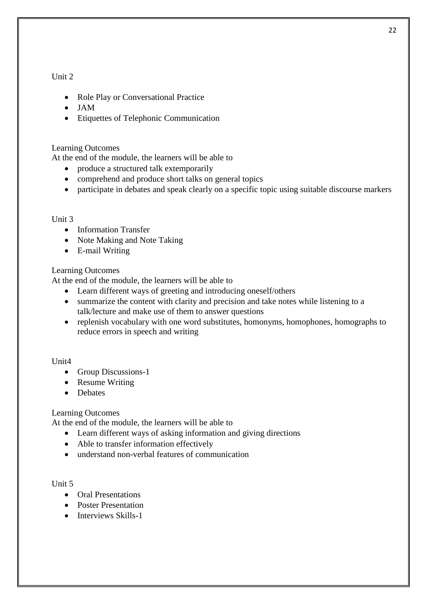# Unit 2

- Role Play or Conversational Practice
- JAM
- Etiquettes of Telephonic Communication

# Learning Outcomes

At the end of the module, the learners will be able to

- produce a structured talk extemporarily
- comprehend and produce short talks on general topics
- participate in debates and speak clearly on a specific topic using suitable discourse markers

#### Unit 3

- Information Transfer
- Note Making and Note Taking
- E-mail Writing

# Learning Outcomes

At the end of the module, the learners will be able to

- Learn different ways of greeting and introducing oneself/others
- summarize the content with clarity and precision and take notes while listening to a talk/lecture and make use of them to answer questions
- replenish vocabulary with one word substitutes, homonyms, homophones, homographs to reduce errors in speech and writing

# Unit4

- Group Discussions-1
- Resume Writing
- Debates

# Learning Outcomes

At the end of the module, the learners will be able to

- Learn different ways of asking information and giving directions
- Able to transfer information effectively
- understand non-verbal features of communication

# Unit 5

- Oral Presentations
- Poster Presentation
- Interviews Skills-1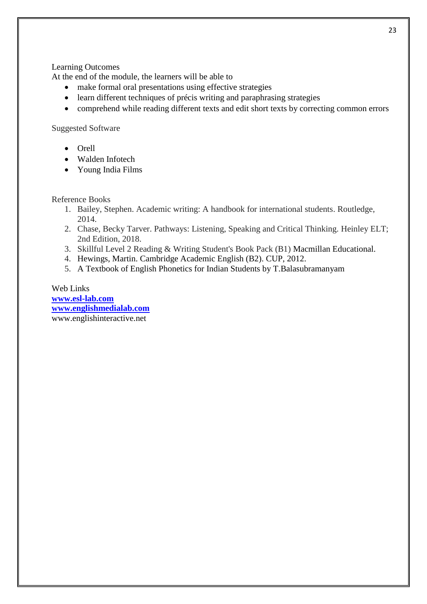Learning Outcomes

At the end of the module, the learners will be able to

- make formal oral presentations using effective strategies
- learn different techniques of précis writing and paraphrasing strategies
- comprehend while reading different texts and edit short texts by correcting common errors

#### Suggested Software

- Orell
- Walden Infotech
- Young India Films

Reference Books

- 1. Bailey, Stephen. Academic writing: A handbook for international students. Routledge, 2014.
- 2. Chase, Becky Tarver. Pathways: Listening, Speaking and Critical Thinking. Heinley ELT; 2nd Edition, 2018.
- 3. Skillful Level 2 Reading & Writing Student's Book Pack (B1) Macmillan Educational.
- 4. Hewings, Martin. Cambridge Academic English (B2). CUP, 2012.
- 5. A Textbook of English Phonetics for Indian Students by T.Balasubramanyam

Web Links **[www.esl-lab.com](http://www.esl-lab.com/) [www.englishmedialab.com](http://www.englishmedialab.com/)** www.englishinteractive.net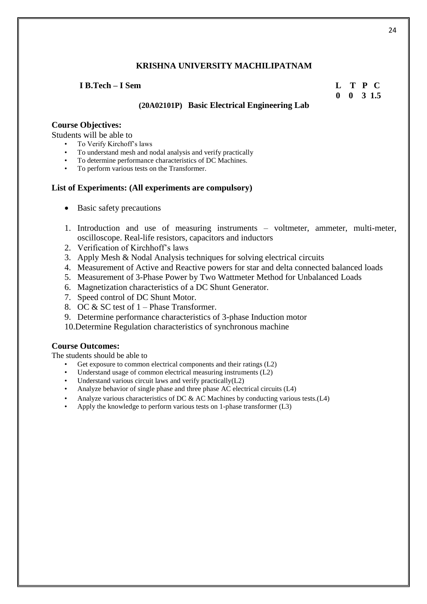#### **I B.Tech – I Sem L T P C**

# **0 0 3 1.5**

# **(20A02101P) Basic Electrical Engineering Lab**

#### **Course Objectives:**

Students will be able to

- To Verify Kirchoff's laws
- To understand mesh and nodal analysis and verify practically
- To determine performance characteristics of DC Machines.
- To perform various tests on the Transformer.

#### **List of Experiments: (All experiments are compulsory)**

- Basic safety precautions
- 1. Introduction and use of measuring instruments voltmeter, ammeter, multi-meter, oscilloscope. Real-life resistors, capacitors and inductors
- 2. Verification of Kirchhoff's laws
- 3. Apply Mesh & Nodal Analysis techniques for solving electrical circuits
- 4. Measurement of Active and Reactive powers for star and delta connected balanced loads
- 5. Measurement of 3-Phase Power by Two Wattmeter Method for Unbalanced Loads
- 6. Magnetization characteristics of a DC Shunt Generator.
- 7. Speed control of DC Shunt Motor.
- 8. OC & SC test of 1 Phase Transformer.
- 9. Determine performance characteristics of 3-phase Induction motor
- 10.Determine Regulation characteristics of synchronous machine

#### **Course Outcomes:**

The students should be able to

- Get exposure to common electrical components and their ratings (L2)
- Understand usage of common electrical measuring instruments (L2)
- Understand various circuit laws and verify practically $(L2)$
- Analyze behavior of single phase and three phase AC electrical circuits (L4)
- Analyze various characteristics of DC  $\&$  AC Machines by conducting various tests.(L4)
- Apply the knowledge to perform various tests on 1-phase transformer (L3)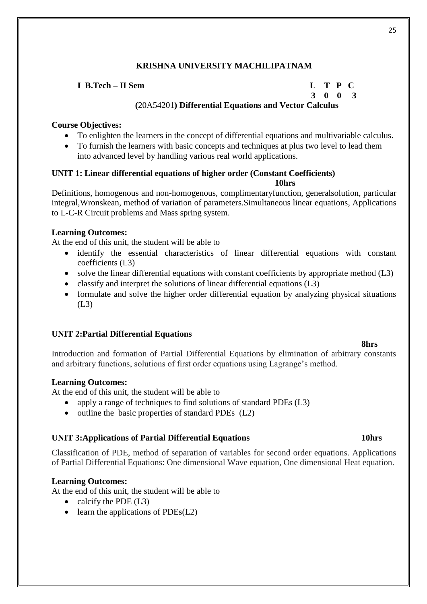# **I B.Tech – II Sem L T P C 3 0 0 3 (**20A54201**) Differential Equations and Vector Calculus**

# **Course Objectives:**

- To enlighten the learners in the concept of differential equations and multivariable calculus.
- To furnish the learners with basic concepts and techniques at plus two level to lead them into advanced level by handling various real world applications.

# **UNIT 1: Linear differential equations of higher order (Constant Coefficients)**

**10hrs**

Definitions, homogenous and non-homogenous, complimentaryfunction, generalsolution, particular integral,Wronskean, method of variation of parameters.Simultaneous linear equations, Applications to L-C-R Circuit problems and Mass spring system.

# **Learning Outcomes:**

At the end of this unit, the student will be able to

- identify the essential characteristics of linear differential equations with constant coefficients (L3)
- solve the linear differential equations with constant coefficients by appropriate method (L3)
- classify and interpret the solutions of linear differential equations  $(L3)$
- formulate and solve the higher order differential equation by analyzing physical situations (L3)

# **UNIT 2:Partial Differential Equations**

# Introduction and formation of Partial Differential Equations by elimination of arbitrary constants and arbitrary functions, solutions of first order equations using Lagrange's method.

# **Learning Outcomes:**

At the end of this unit, the student will be able to

- apply a range of techniques to find solutions of standard PDEs (L3)
- $\bullet$  outline the basic properties of standard PDEs (L2)

# **UNIT 3:Applications of Partial Differential Equations 10hrs**

Classification of PDE, method of separation of variables for second order equations. Applications of Partial Differential Equations: One dimensional Wave equation, One dimensional Heat equation.

# **Learning Outcomes:**

At the end of this unit, the student will be able to

- calcify the PDE  $(L3)$
- $\bullet$  learn the applications of PDEs(L2)

**8hrs**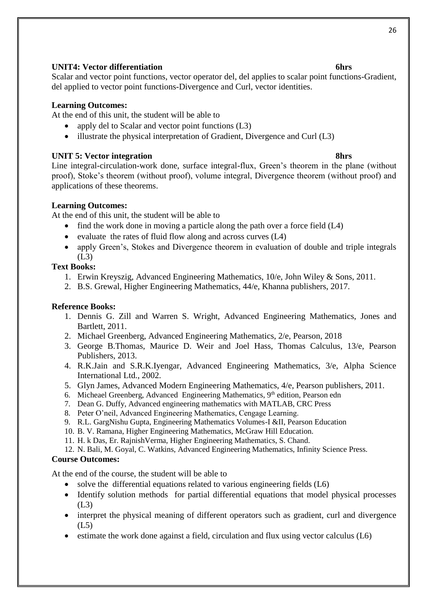#### 26

## **UNIT4: Vector differentiation 6hrs**

Scalar and vector point functions, vector operator del, del applies to scalar point functions-Gradient, del applied to vector point functions-Divergence and Curl, vector identities.

# **Learning Outcomes:**

At the end of this unit, the student will be able to

- apply del to Scalar and vector point functions (L3)
- illustrate the physical interpretation of Gradient, Divergence and Curl (L3)

# **UNIT 5: Vector integration 8hrs**

Line integral-circulation-work done, surface integral-flux, Green's theorem in the plane (without proof), Stoke's theorem (without proof), volume integral, Divergence theorem (without proof) and applications of these theorems.

# **Learning Outcomes:**

At the end of this unit, the student will be able to

- find the work done in moving a particle along the path over a force field  $(L4)$
- evaluate the rates of fluid flow along and across curves  $(L4)$
- apply Green's, Stokes and Divergence theorem in evaluation of double and triple integrals (L3)

# **Text Books:**

- 1. Erwin Kreyszig, Advanced Engineering Mathematics, 10/e, John Wiley & Sons, 2011.
- 2. B.S. Grewal, Higher Engineering Mathematics, 44/e, Khanna publishers, 2017.

# **Reference Books:**

- 1. Dennis G. Zill and Warren S. Wright, Advanced Engineering Mathematics, Jones and Bartlett, 2011.
- 2. Michael Greenberg, Advanced Engineering Mathematics, 2/e, Pearson, 2018
- 3. George B.Thomas, Maurice D. Weir and Joel Hass, Thomas Calculus, 13/e, Pearson Publishers, 2013.
- 4. R.K.Jain and S.R.K.Iyengar, Advanced Engineering Mathematics, 3/e, Alpha Science International Ltd., 2002.
- 5. Glyn James, Advanced Modern Engineering Mathematics, 4/e, Pearson publishers, 2011.
- 6. Micheael Greenberg, Advanced Engineering Mathematics,  $9<sup>th</sup>$  edition, Pearson edn
- 7. Dean G. Duffy, Advanced engineering mathematics with MATLAB, CRC Press
- 8. Peter O'neil, Advanced Engineering Mathematics, Cengage Learning.
- 9. R.L. GargNishu Gupta, Engineering Mathematics Volumes-I &II, Pearson Education
- 10. B. V. Ramana, Higher Engineering Mathematics, McGraw Hill Education.
- 11. H. k Das, Er. RajnishVerma, Higher Engineering Mathematics, S. Chand.
- 12. N. Bali, M. Goyal, C. Watkins, Advanced Engineering Mathematics, Infinity Science Press.

# **Course Outcomes:**

At the end of the course, the student will be able to

- solve the differential equations related to various engineering fields (L6)
- Identify solution methods for partial differential equations that model physical processes (L3)
- interpret the physical meaning of different operators such as gradient, curl and divergence  $(L5)$
- $\bullet$  estimate the work done against a field, circulation and flux using vector calculus (L6)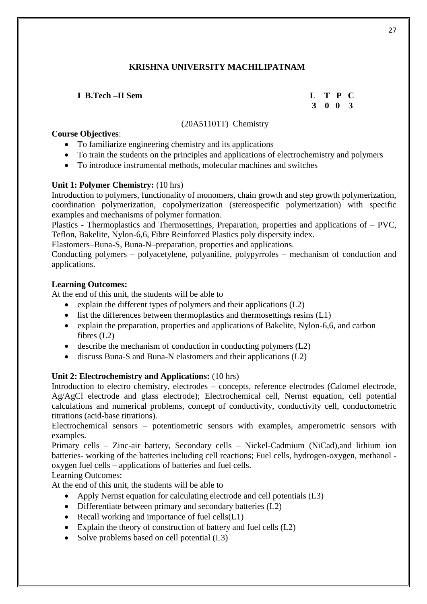# **I B.Tech –II Sem L T P C**

 **3 0 0 3**

# (20A51101T) Chemistry

# **Course Objectives**:

- To familiarize engineering chemistry and its applications
- To train the students on the principles and applications of electrochemistry and polymers
- To introduce instrumental methods, molecular machines and switches

# **Unit 1: Polymer Chemistry:** (10 hrs)

Introduction to polymers, functionality of monomers, chain growth and step growth polymerization, coordination polymerization, copolymerization (stereospecific polymerization) with specific examples and mechanisms of polymer formation.

Plastics - Thermoplastics and Thermosettings, Preparation, properties and applications of – PVC, Teflon, Bakelite, Nylon-6,6, Fibre Reinforced Plastics poly dispersity index.

Elastomers–Buna-S, Buna-N–preparation, properties and applications.

Conducting polymers – polyacetylene, polyaniline, polypyrroles – mechanism of conduction and applications.

# **Learning Outcomes:**

At the end of this unit, the students will be able to

- explain the different types of polymers and their applications  $(L2)$
- $\bullet$  list the differences between thermoplastics and thermosettings resins (L1)
- explain the preparation, properties and applications of Bakelite, Nylon-6,6, and carbon fibres (L2)
- describe the mechanism of conduction in conducting polymers (L2)
- discuss Buna-S and Buna-N elastomers and their applications (L2)

# **Unit 2: Electrochemistry and Applications:** (10 hrs)

Introduction to electro chemistry, electrodes – concepts, reference electrodes (Calomel electrode, Ag/AgCl electrode and glass electrode); Electrochemical cell, Nernst equation, cell potential calculations and numerical problems, concept of conductivity, conductivity cell, conductometric titrations (acid-base titrations).

Electrochemical sensors – potentiometric sensors with examples, amperometric sensors with examples.

Primary cells – Zinc-air battery, Secondary cells – Nickel-Cadmium (NiCad),and lithium ion batteries- working of the batteries including cell reactions; Fuel cells, hydrogen-oxygen, methanol oxygen fuel cells – applications of batteries and fuel cells.

# Learning Outcomes:

At the end of this unit, the students will be able to

- Apply Nernst equation for calculating electrode and cell potentials (L3)
- Differentiate between primary and secondary batteries (L2)
- Recall working and importance of fuel cells $(L1)$
- Explain the theory of construction of battery and fuel cells  $(L2)$
- Solve problems based on cell potential (L3)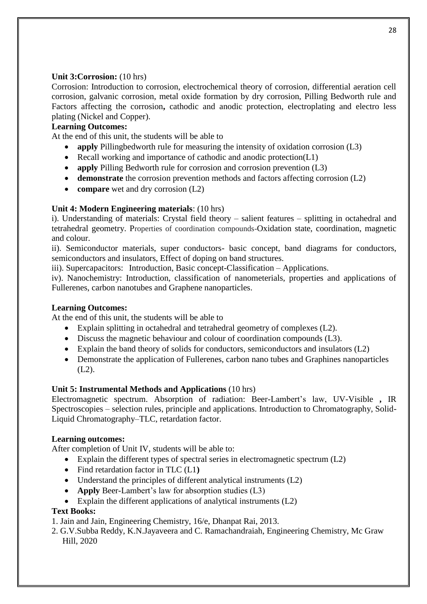# **Unit 3:Corrosion:** (10 hrs)

Corrosion: Introduction to corrosion, electrochemical theory of corrosion, differential aeration cell corrosion, galvanic corrosion, metal oxide formation by dry corrosion, Pilling Bedworth rule and Factors affecting the corrosion, cathodic and anodic protection, electroplating and electro less plating (Nickel and Copper).

# **Learning Outcomes:**

At the end of this unit, the students will be able to

- **apply** Pillingbedworth rule for measuring the intensity of oxidation corrosion (L3)
- Recall working and importance of cathodic and anodic protection(L1)
- **apply** Pilling Bedworth rule for corrosion and corrosion prevention (L3)
- demonstrate the corrosion prevention methods and factors affecting corrosion (L2)
- **compare** wet and dry corrosion (L2)

# **Unit 4: Modern Engineering materials**: (10 hrs)

i). Understanding of materials: Crystal field theory – salient features – splitting in octahedral and tetrahedral geometry. Properties of coordination compounds-Oxidation state, coordination, magnetic and colour.

ii). Semiconductor materials, super conductors- basic concept, band diagrams for conductors, semiconductors and insulators, Effect of doping on band structures.

iii). Supercapacitors: Introduction, Basic concept-Classification – Applications.

iv). Nanochemistry: Introduction, classification of nanometerials, properties and applications of Fullerenes, carbon nanotubes and Graphene nanoparticles.

# **Learning Outcomes:**

At the end of this unit, the students will be able to

- Explain splitting in octahedral and tetrahedral geometry of complexes (L2).
- Discuss the magnetic behaviour and colour of coordination compounds (L3).
- Explain the band theory of solids for conductors, semiconductors and insulators  $(L2)$
- Demonstrate the application of Fullerenes, carbon nano tubes and Graphines nanoparticles (L2).

# **Unit 5: Instrumental Methods and Applications** (10 hrs)

Electromagnetic spectrum. Absorption of radiation: Beer-Lambert's law, UV-Visible **,** IR Spectroscopies – selection rules, principle and applications. Introduction to Chromatography, Solid-Liquid Chromatography–TLC, retardation factor.

# **Learning outcomes:**

After completion of Unit IV, students will be able to:

- Explain the different types of spectral series in electromagnetic spectrum (L2)
- Find retardation factor in TLC (L1**)**
- Understand the principles of different analytical instruments  $(L2)$
- **Apply** Beer-Lambert's law for absorption studies (L3)
- Explain the different applications of analytical instruments  $(L2)$

# **Text Books:**

1. Jain and Jain, Engineering Chemistry, 16/e, Dhanpat Rai, 2013.

2. G.V.Subba Reddy, K.N.Jayaveera and C. Ramachandraiah, Engineering Chemistry, Mc Graw Hill, 2020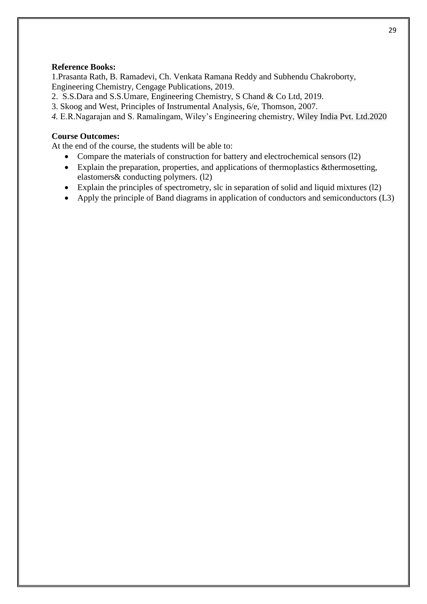# **Reference Books:**

1.Prasanta Rath, B. Ramadevi, Ch. Venkata Ramana Reddy and Subhendu Chakroborty, Engineering Chemistry, Cengage Publications, 2019.

- 2. S.S.Dara and S.S.Umare, Engineering Chemistry, S Chand & Co Ltd, 2019.
- 3. Skoog and West, Principles of Instrumental Analysis, 6/e, Thomson, 2007.
- *4.* E.R.Nagarajan and S. Ramalingam, Wiley's Engineering chemistry, Wiley India Pvt. Ltd.2020

# **Course Outcomes:**

At the end of the course, the students will be able to:

- Compare the materials of construction for battery and electrochemical sensors (l2)
- Explain the preparation, properties, and applications of thermoplastics &thermosetting, elastomers& conducting polymers. (l2)
- Explain the principles of spectrometry, slc in separation of solid and liquid mixtures (l2)
- Apply the principle of Band diagrams in application of conductors and semiconductors (L3)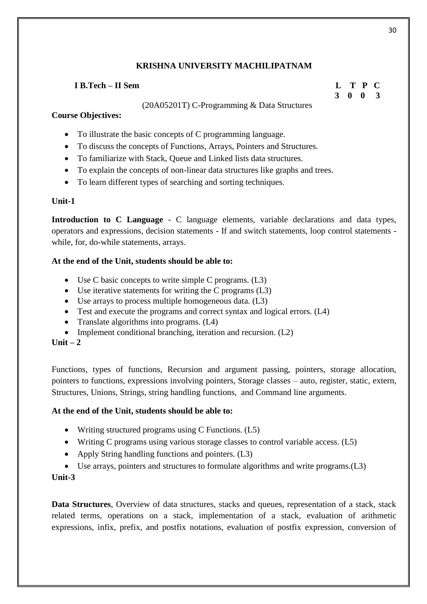# **I B.Tech – II Sem L T P C**

# (20A05201T) C-Programming & Data Structures

# **Course Objectives:**

- To illustrate the basic concepts of C programming language.
- To discuss the concepts of Functions, Arrays, Pointers and Structures.
- To familiarize with Stack, Queue and Linked lists data structures.
- To explain the concepts of non-linear data structures like graphs and trees.
- To learn different types of searching and sorting techniques.

# **Unit-1**

**Introduction to C Language** - C language elements, variable declarations and data types, operators and expressions, decision statements - If and switch statements, loop control statements while, for, do-while statements, arrays.

# **At the end of the Unit, students should be able to:**

- Use C basic concepts to write simple C programs. (L3)
- Use iterative statements for writing the C programs (L3)
- Use arrays to process multiple homogeneous data. (L3)
- Test and execute the programs and correct syntax and logical errors. (L4)
- Translate algorithms into programs.  $(L4)$
- Implement conditional branching, iteration and recursion. (L2)

 $\textbf{Unit} = 2$ 

Functions, types of functions, Recursion and argument passing, pointers, storage allocation, pointers to functions, expressions involving pointers, Storage classes – auto, register, static, extern, Structures, Unions, Strings, string handling functions, and Command line arguments.

# **At the end of the Unit, students should be able to:**

- Writing structured programs using C Functions. (L5)
- Writing C programs using various storage classes to control variable access. (L5)
- Apply String handling functions and pointers. (L3)
- Use arrays, pointers and structures to formulate algorithms and write programs.(L3)

# **Unit-3**

**Data Structures**, Overview of data structures, stacks and queues, representation of a stack, stack related terms, operations on a stack, implementation of a stack, evaluation of arithmetic expressions, infix, prefix, and postfix notations, evaluation of postfix expression, conversion of

30

 **3 0 0 3**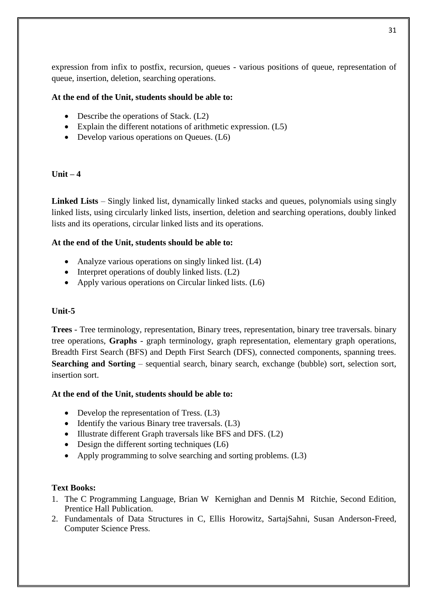expression from infix to postfix, recursion, queues - various positions of queue, representation of queue, insertion, deletion, searching operations.

# **At the end of the Unit, students should be able to:**

- Describe the operations of Stack. (L2)
- Explain the different notations of arithmetic expression. (L5)
- Develop various operations on Queues. (L6)

# $\textbf{Unit} - 4$

**Linked Lists** – Singly linked list, dynamically linked stacks and queues, polynomials using singly linked lists, using circularly linked lists, insertion, deletion and searching operations, doubly linked lists and its operations, circular linked lists and its operations.

# **At the end of the Unit, students should be able to:**

- Analyze various operations on singly linked list. (L4)
- $\bullet$  Interpret operations of doubly linked lists. (L2)
- Apply various operations on Circular linked lists. (L6)

# **Unit-5**

**Trees** - Tree terminology, representation, Binary trees, representation, binary tree traversals. binary tree operations, **Graphs** - graph terminology, graph representation, elementary graph operations, Breadth First Search (BFS) and Depth First Search (DFS), connected components, spanning trees. **Searching and Sorting** – sequential search, binary search, exchange (bubble) sort, selection sort, insertion sort.

# **At the end of the Unit, students should be able to:**

- Develop the representation of Tress. (L3)
- $\bullet$  Identify the various Binary tree traversals. (L3)
- Illustrate different Graph traversals like BFS and DFS. (L2)
- $\bullet$  Design the different sorting techniques (L6)
- Apply programming to solve searching and sorting problems. (L3)

# **Text Books:**

- 1. The C Programming Language, Brian W Kernighan and Dennis M Ritchie, Second Edition, Prentice Hall Publication.
- 2. Fundamentals of Data Structures in C, Ellis Horowitz, SartajSahni, Susan Anderson-Freed, Computer Science Press.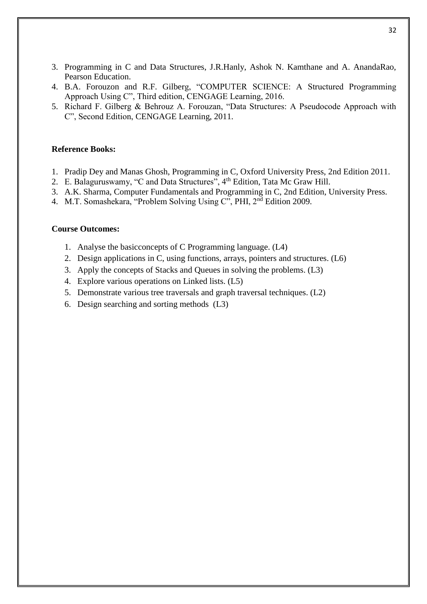- 3. Programming in C and Data Structures, J.R.Hanly, Ashok N. Kamthane and A. AnandaRao, Pearson Education.
- 4. B.A. Forouzon and R.F. Gilberg, "COMPUTER SCIENCE: A Structured Programming Approach Using C", Third edition, CENGAGE Learning, 2016.
- 5. Richard F. Gilberg & Behrouz A. Forouzan, "Data Structures: A Pseudocode Approach with C", Second Edition, CENGAGE Learning, 2011.

#### **Reference Books:**

- 1. Pradip Dey and Manas Ghosh, Programming in C, Oxford University Press, 2nd Edition 2011.
- 2. E. Balaguruswamy, "C and Data Structures",  $4<sup>th</sup>$  Edition, Tata Mc Graw Hill.
- 3. A.K. Sharma, Computer Fundamentals and Programming in C, 2nd Edition, University Press.
- 4. M.T. Somashekara, "Problem Solving Using C", PHI, 2nd Edition 2009.

#### **Course Outcomes:**

- 1. Analyse the basicconcepts of C Programming language. (L4)
- 2. Design applications in C, using functions, arrays, pointers and structures. (L6)
- 3. Apply the concepts of Stacks and Queues in solving the problems. (L3)
- 4. Explore various operations on Linked lists. (L5)
- 5. Demonstrate various tree traversals and graph traversal techniques. (L2)
- 6. Design searching and sorting methods (L3)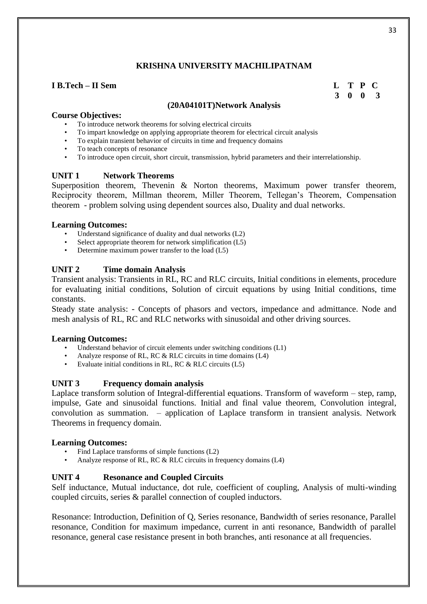## **I B.Tech – II Sem L T P C**

 **3 0 0 3**

#### **(20A04101T)Network Analysis**

#### **Course Objectives:**

- To introduce network theorems for solving electrical circuits
- To impart knowledge on applying appropriate theorem for electrical circuit analysis
- To explain transient behavior of circuits in time and frequency domains
- To teach concepts of resonance
- To introduce open circuit, short circuit, transmission, hybrid parameters and their interrelationship.

#### **UNIT 1 Network Theorems**

Superposition theorem, Thevenin & Norton theorems, Maximum power transfer theorem, Reciprocity theorem, Millman theorem, Miller Theorem, Tellegan's Theorem, Compensation theorem - problem solving using dependent sources also, Duality and dual networks.

#### **Learning Outcomes:**

- Understand significance of duality and dual networks  $(L2)$
- Select appropriate theorem for network simplification (L5)
- Determine maximum power transfer to the load (L5)

# **UNIT 2 Time domain Analysis**

Transient analysis: Transients in RL, RC and RLC circuits, Initial conditions in elements, procedure for evaluating initial conditions, Solution of circuit equations by using Initial conditions, time constants.

Steady state analysis: - Concepts of phasors and vectors, impedance and admittance. Node and mesh analysis of RL, RC and RLC networks with sinusoidal and other driving sources.

#### **Learning Outcomes:**

- Understand behavior of circuit elements under switching conditions (L1)
- Analyze response of RL, RC & RLC circuits in time domains (L4)
- Evaluate initial conditions in RL, RC & RLC circuits (L5)

# **UNIT 3 Frequency domain analysis**

Laplace transform solution of Integral-differential equations. Transform of waveform – step, ramp, impulse, Gate and sinusoidal functions. Initial and final value theorem, Convolution integral, convolution as summation. – application of Laplace transform in transient analysis. Network Theorems in frequency domain.

#### **Learning Outcomes:**

- Find Laplace transforms of simple functions (L2)
- Analyze response of RL, RC & RLC circuits in frequency domains (L4)

# **UNIT 4 Resonance and Coupled Circuits**

Self inductance, Mutual inductance, dot rule, coefficient of coupling, Analysis of multi-winding coupled circuits, series & parallel connection of coupled inductors.

Resonance: Introduction, Definition of Q, Series resonance, Bandwidth of series resonance, Parallel resonance, Condition for maximum impedance, current in anti resonance, Bandwidth of parallel resonance, general case resistance present in both branches, anti resonance at all frequencies.

33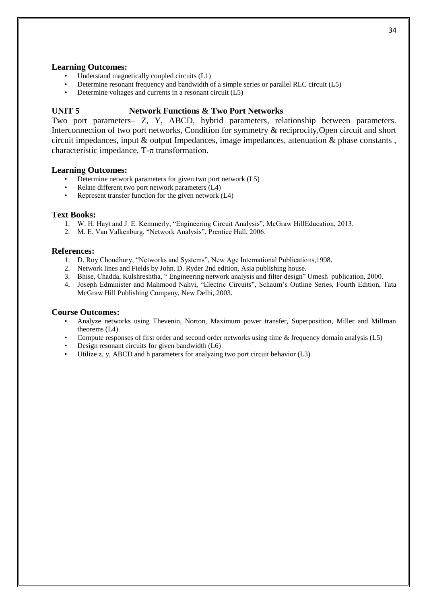#### **Learning Outcomes:**

- Understand magnetically coupled circuits (L1)
- Determine resonant frequency and bandwidth of a simple series or parallel RLC circuit (L5)
- Determine voltages and currents in a resonant circuit  $(L5)$

#### **UNIT 5 Network Functions & Two Port Networks**

Two port parameters– Z, Y, ABCD, hybrid parameters, relationship between parameters. Interconnection of two port networks, Condition for symmetry & reciprocity,Open circuit and short circuit impedances, input & output Impedances, image impedances, attenuation & phase constants , characteristic impedance,  $T-\pi$  transformation.

#### **Learning Outcomes:**

- Determine network parameters for given two port network (L5)
- Relate different two port network parameters (L4)
- Represent transfer function for the given network (L4)

#### **Text Books:**

- 1. W. H. Hayt and J. E. Kemmerly, "Engineering Circuit Analysis", McGraw HillEducation, 2013.
- 2. M. E. Van Valkenburg, "Network Analysis", Prentice Hall, 2006.

#### **References:**

- 1. D. Roy Choudhury, "Networks and Systems", New Age International Publications,1998.
- 2. Network lines and Fields by John. D. Ryder 2nd edition, Asia publishing house.
- 3. Bhise, Chadda, Kulshreshtha, " Engineering network analysis and filter design" Umesh publication, 2000.
- 4. Joseph Edminister and Mahmood Nahvi, "Electric Circuits", Schaum's Outline Series, Fourth Edition, Tata McGraw Hill Publishing Company, New Delhi, 2003.

#### **Course Outcomes:**

- Analyze networks using Thevenin, Norton, Maximum power transfer, Superposition, Miller and Millman theorems (L4)
- Compute responses of first order and second order networks using time & frequency domain analysis (L5)
- Design resonant circuits for given bandwidth (L6)
- Utilize z, y, ABCD and h parameters for analyzing two port circuit behavior (L3)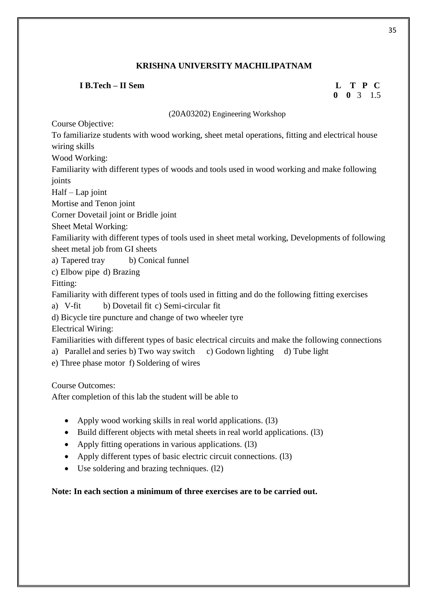# **I B.Tech – II Sem L T P C**

# **0 0** 3 1.5

(20A03202) Engineering Workshop

Course Objective:

To familiarize students with wood working, sheet metal operations, fitting and electrical house wiring skills

Wood Working:

Familiarity with different types of woods and tools used in wood working and make following joints

Half – Lap joint

Mortise and Tenon joint

Corner Dovetail joint or Bridle joint

Sheet Metal Working:

Familiarity with different types of tools used in sheet metal working, Developments of following sheet metal job from GI sheets

a) Tapered tray b) Conical funnel

c) Elbow pipe d) Brazing

Fitting:

Familiarity with different types of tools used in fitting and do the following fitting exercises

a) V-fit b) Dovetail fit c) Semi-circular fit

d) Bicycle tire puncture and change of two wheeler tyre

Electrical Wiring:

Familiarities with different types of basic electrical circuits and make the following connections

a) Parallel and series b) Two way switch c) Godown lighting d) Tube light

e) Three phase motor f) Soldering of wires

Course Outcomes:

After completion of this lab the student will be able to

- Apply wood working skills in real world applications. (13)
- Build different objects with metal sheets in real world applications. (13)
- Apply fitting operations in various applications. (13)
- Apply different types of basic electric circuit connections. (13)
- Use soldering and brazing techniques. (l2)

**Note: In each section a minimum of three exercises are to be carried out.**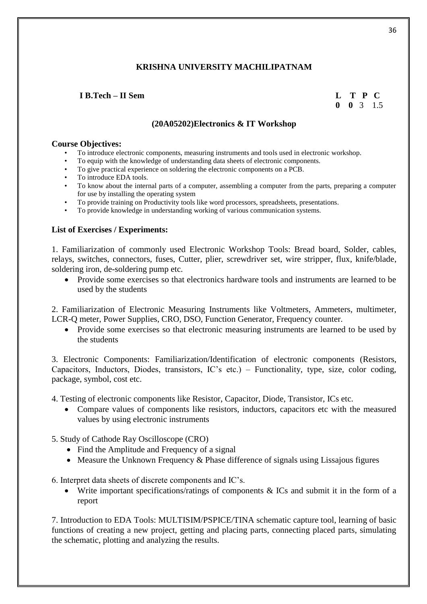# *<b>I B.Tech – II Sem*

|  |  | L T P C              |
|--|--|----------------------|
|  |  | $0 \t 0 \t 3 \t 1.5$ |

# **(20A05202)Electronics & IT Workshop**

#### **Course Objectives:**

- To introduce electronic components, measuring instruments and tools used in electronic workshop.
- To equip with the knowledge of understanding data sheets of electronic components.
- To give practical experience on soldering the electronic components on a PCB.
- To introduce EDA tools.
- To know about the internal parts of a computer, assembling a computer from the parts, preparing a computer for use by installing the operating system
- To provide training on Productivity tools like word processors, spreadsheets, presentations.
- To provide knowledge in understanding working of various communication systems.

#### **List of Exercises / Experiments:**

1. Familiarization of commonly used Electronic Workshop Tools: Bread board, Solder, cables, relays, switches, connectors, fuses, Cutter, plier, screwdriver set, wire stripper, flux, knife/blade, soldering iron, de-soldering pump etc.

 Provide some exercises so that electronics hardware tools and instruments are learned to be used by the students

2. Familiarization of Electronic Measuring Instruments like Voltmeters, Ammeters, multimeter, LCR-Q meter, Power Supplies, CRO, DSO, Function Generator, Frequency counter.

 Provide some exercises so that electronic measuring instruments are learned to be used by the students

3. Electronic Components: Familiarization/Identification of electronic components (Resistors, Capacitors, Inductors, Diodes, transistors, IC's etc.) – Functionality, type, size, color coding, package, symbol, cost etc.

4. Testing of electronic components like Resistor, Capacitor, Diode, Transistor, ICs etc.

 Compare values of components like resistors, inductors, capacitors etc with the measured values by using electronic instruments

5. Study of Cathode Ray Oscilloscope (CRO)

- Find the Amplitude and Frequency of a signal
- Measure the Unknown Frequency  $&$  Phase difference of signals using Lissajous figures

6. Interpret data sheets of discrete components and IC's.

Write important specifications/ratings of components & ICs and submit it in the form of a report

7. Introduction to EDA Tools: MULTISIM/PSPICE/TINA schematic capture tool, learning of basic functions of creating a new project, getting and placing parts, connecting placed parts, simulating the schematic, plotting and analyzing the results.

36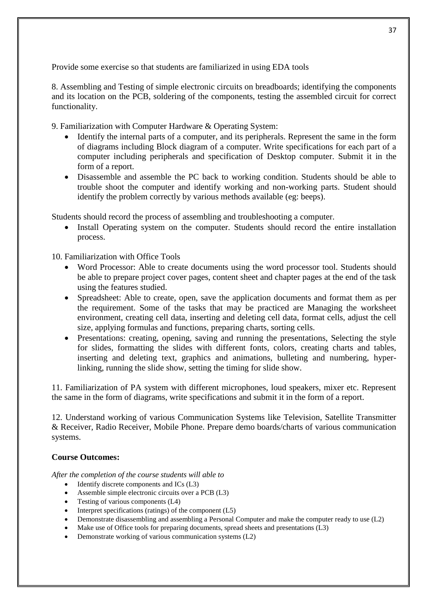Provide some exercise so that students are familiarized in using EDA tools

8. Assembling and Testing of simple electronic circuits on breadboards; identifying the components and its location on the PCB, soldering of the components, testing the assembled circuit for correct functionality.

9. Familiarization with Computer Hardware & Operating System:

- Identify the internal parts of a computer, and its peripherals. Represent the same in the form of diagrams including Block diagram of a computer. Write specifications for each part of a computer including peripherals and specification of Desktop computer. Submit it in the form of a report.
- Disassemble and assemble the PC back to working condition. Students should be able to trouble shoot the computer and identify working and non-working parts. Student should identify the problem correctly by various methods available (eg: beeps).

Students should record the process of assembling and troubleshooting a computer.

 Install Operating system on the computer. Students should record the entire installation process.

10. Familiarization with Office Tools

- Word Processor: Able to create documents using the word processor tool. Students should be able to prepare project cover pages, content sheet and chapter pages at the end of the task using the features studied.
- Spreadsheet: Able to create, open, save the application documents and format them as per the requirement. Some of the tasks that may be practiced are Managing the worksheet environment, creating cell data, inserting and deleting cell data, format cells, adjust the cell size, applying formulas and functions, preparing charts, sorting cells.
- Presentations: creating, opening, saving and running the presentations, Selecting the style for slides, formatting the slides with different fonts, colors, creating charts and tables, inserting and deleting text, graphics and animations, bulleting and numbering, hyperlinking, running the slide show, setting the timing for slide show.

11. Familiarization of PA system with different microphones, loud speakers, mixer etc. Represent the same in the form of diagrams, write specifications and submit it in the form of a report.

12. Understand working of various Communication Systems like Television, Satellite Transmitter & Receiver, Radio Receiver, Mobile Phone. Prepare demo boards/charts of various communication systems.

# **Course Outcomes:**

*After the completion of the course students will able to*

- $\bullet$  Identify discrete components and ICs (L3)
- Assemble simple electronic circuits over a PCB (L3)
- Testing of various components (L4)
- Interpret specifications (ratings) of the component  $(L5)$
- Demonstrate disassembling and assembling a Personal Computer and make the computer ready to use (L2)
- Make use of Office tools for preparing documents, spread sheets and presentations (L3)
- Demonstrate working of various communication systems (L2)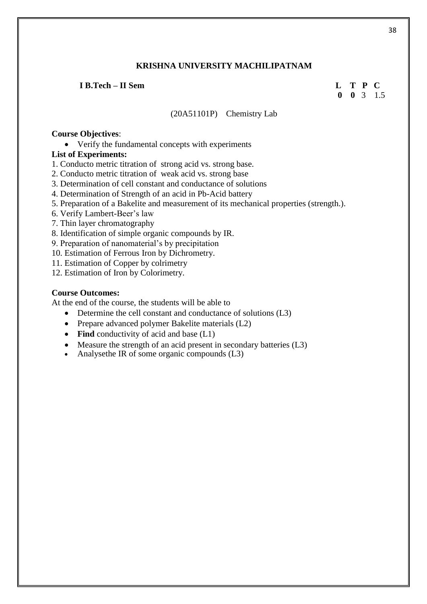#### **I B.Tech – II Sem L T P C**

# **0 0** 3 1.5

#### (20A51101P) Chemistry Lab

#### **Course Objectives**:

Verify the fundamental concepts with experiments

# **List of Experiments:**

1. Conducto metric titration of strong acid vs. strong base.

- 2. Conducto metric titration of weak acid vs. strong base
- 3. Determination of cell constant and conductance of solutions
- 4. Determination of Strength of an acid in Pb-Acid battery
- 5. Preparation of a Bakelite and measurement of its mechanical properties (strength.).
- 6. Verify Lambert-Beer's law
- 7. Thin layer chromatography
- 8. Identification of simple organic compounds by IR.
- 9. Preparation of nanomaterial's by precipitation
- 10. Estimation of Ferrous Iron by Dichrometry.
- 11. Estimation of Copper by colrimetry
- 12. Estimation of Iron by Colorimetry.

#### **Course Outcomes:**

At the end of the course, the students will be able to

- Determine the cell constant and conductance of solutions (L3)
- Prepare advanced polymer Bakelite materials (L2)
- Find conductivity of acid and base (L1)
- Measure the strength of an acid present in secondary batteries (L3)
- Analysethe IR of some organic compounds (L3)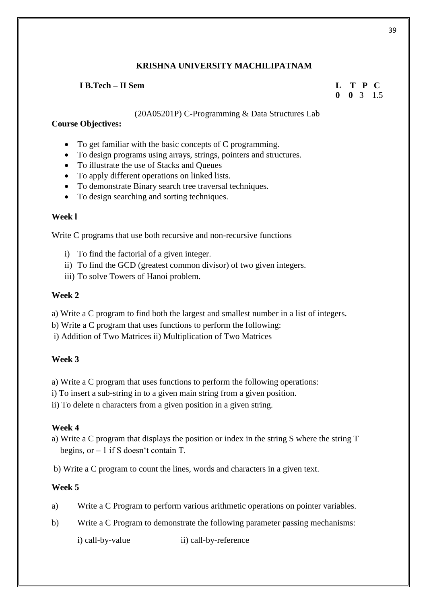# **I B.Tech – II Sem L T P C**

# **0 0** 3 1.5

(20A05201P) C-Programming & Data Structures Lab

# **Course Objectives:**

- To get familiar with the basic concepts of C programming.
- To design programs using arrays, strings, pointers and structures.
- To illustrate the use of Stacks and Queues
- To apply different operations on linked lists.
- To demonstrate Binary search tree traversal techniques.
- To design searching and sorting techniques.

# **Week l**

Write C programs that use both recursive and non-recursive functions

- i) To find the factorial of a given integer.
- ii) To find the GCD (greatest common divisor) of two given integers.
- iii) To solve Towers of Hanoi problem.

# **Week 2**

a) Write a C program to find both the largest and smallest number in a list of integers.

- b) Write a C program that uses functions to perform the following:
- i) Addition of Two Matrices ii) Multiplication of Two Matrices

# **Week 3**

a) Write a C program that uses functions to perform the following operations:

i) To insert a sub-string in to a given main string from a given position.

ii) To delete n characters from a given position in a given string.

# **Week 4**

a) Write a C program that displays the position or index in the string S where the string T begins, or – 1 if S doesn't contain T.

b) Write a C program to count the lines, words and characters in a given text.

# **Week 5**

- a) Write a C Program to perform various arithmetic operations on pointer variables.
- b) Write a C Program to demonstrate the following parameter passing mechanisms:

i) call-by-value ii) call-by-reference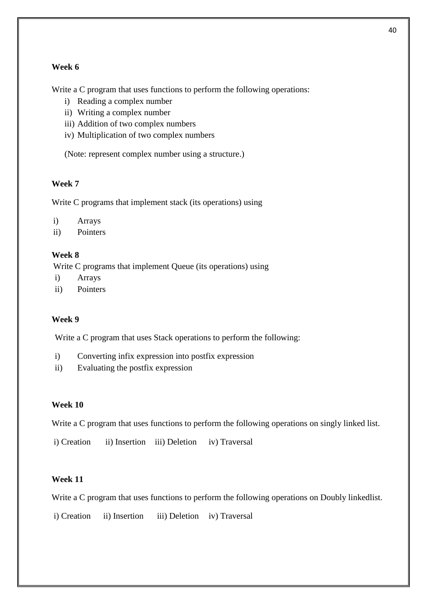# **Week 6**

Write a C program that uses functions to perform the following operations:

- i) Reading a complex number
- ii) Writing a complex number
- iii) Addition of two complex numbers
- iv) Multiplication of two complex numbers

(Note: represent complex number using a structure.)

#### **Week 7**

Write C programs that implement stack (its operations) using

- i) Arrays
- ii) Pointers

# **Week 8**

Write C programs that implement Queue (its operations) using

- i) Arrays
- ii) Pointers

# **Week 9**

Write a C program that uses Stack operations to perform the following:

- i) Converting infix expression into postfix expression
- ii) Evaluating the postfix expression

### **Week 10**

Write a C program that uses functions to perform the following operations on singly linked list.

i) Creation ii) Insertion iii) Deletion iv) Traversal

# **Week 11**

Write a C program that uses functions to perform the following operations on Doubly linkedlist.

i) Creation ii) Insertion iii) Deletion iv) Traversal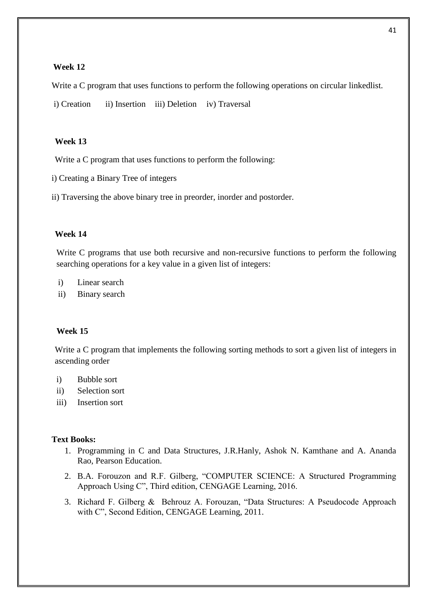# **Week 12**

Write a C program that uses functions to perform the following operations on circular linked list.

i) Creation ii) Insertion iii) Deletion iv) Traversal

# **Week 13**

Write a C program that uses functions to perform the following:

i) Creating a Binary Tree of integers

ii) Traversing the above binary tree in preorder, inorder and postorder.

# **Week 14**

Write C programs that use both recursive and non-recursive functions to perform the following searching operations for a key value in a given list of integers:

i) Linear search

ii) Binary search

# **Week 15**

Write a C program that implements the following sorting methods to sort a given list of integers in ascending order

- i) Bubble sort
- ii) Selection sort
- iii) Insertion sort

# **Text Books:**

- 1. Programming in C and Data Structures, J.R.Hanly, Ashok N. Kamthane and A. Ananda Rao, Pearson Education.
- 2. B.A. Forouzon and R.F. Gilberg, "COMPUTER SCIENCE: A Structured Programming Approach Using C", Third edition, CENGAGE Learning, 2016.
- 3. Richard F. Gilberg & Behrouz A. Forouzan, "Data Structures: A Pseudocode Approach with C", Second Edition, CENGAGE Learning, 2011.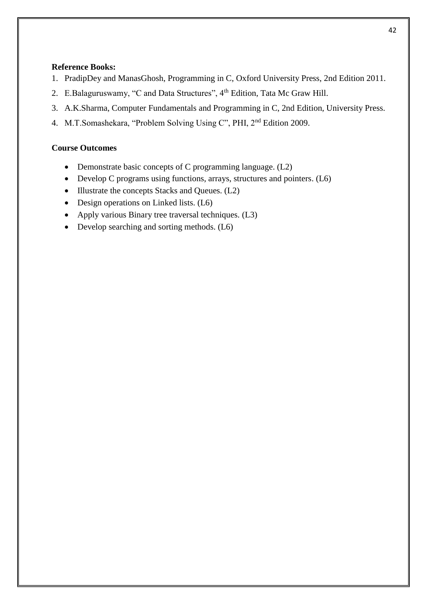# **Reference Books:**

- 1. PradipDey and ManasGhosh, Programming in C, Oxford University Press, 2nd Edition 2011.
- 2. E.Balaguruswamy, "C and Data Structures", 4<sup>th</sup> Edition, Tata Mc Graw Hill.
- 3. A.K.Sharma, Computer Fundamentals and Programming in C, 2nd Edition, University Press.
- 4. M.T.Somashekara, "Problem Solving Using C", PHI, 2nd Edition 2009.

# **Course Outcomes**

- Demonstrate basic concepts of C programming language. (L2)
- Develop C programs using functions, arrays, structures and pointers. (L6)
- Illustrate the concepts Stacks and Queues. (L2)
- Design operations on Linked lists. (L6)
- Apply various Binary tree traversal techniques. (L3)
- Develop searching and sorting methods. (L6)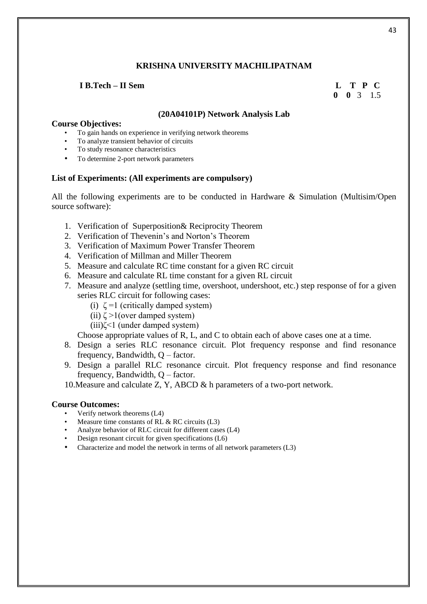#### **I B.Tech – II Sem L T P C**

# **0 0** 3 1.5

#### **(20A04101P) Network Analysis Lab**

#### **Course Objectives:**

- To gain hands on experience in verifying network theorems
- To analyze transient behavior of circuits
- To study resonance characteristics
- To determine 2-port network parameters

#### **List of Experiments: (All experiments are compulsory)**

All the following experiments are to be conducted in Hardware & Simulation (Multisim/Open source software):

- 1. Verification of Superposition& Reciprocity Theorem
- 2. Verification of Thevenin's and Norton's Theorem
- 3. Verification of Maximum Power Transfer Theorem
- 4. Verification of Millman and Miller Theorem
- 5. Measure and calculate RC time constant for a given RC circuit
- 6. Measure and calculate RL time constant for a given RL circuit
- 7. Measure and analyze (settling time, overshoot, undershoot, etc.) step response of for a given series RLC circuit for following cases:
	- (i)  $\zeta = 1$  (critically damped system)
	- (ii)  $\zeta > 1$ (over damped system)
	- (iii)ζ<1 (under damped system)

Choose appropriate values of R, L, and C to obtain each of above cases one at a time.

- 8. Design a series RLC resonance circuit. Plot frequency response and find resonance frequency, Bandwidth, Q – factor.
- 9. Design a parallel RLC resonance circuit. Plot frequency response and find resonance frequency, Bandwidth, Q – factor.
- 10.Measure and calculate Z, Y, ABCD & h parameters of a two-port network.

#### **Course Outcomes:**

- Verify network theorems (L4)
- Measure time constants of RL  $&$  RC circuits (L3)
- Analyze behavior of RLC circuit for different cases (L4)
- Design resonant circuit for given specifications (L6)
- Characterize and model the network in terms of all network parameters (L3)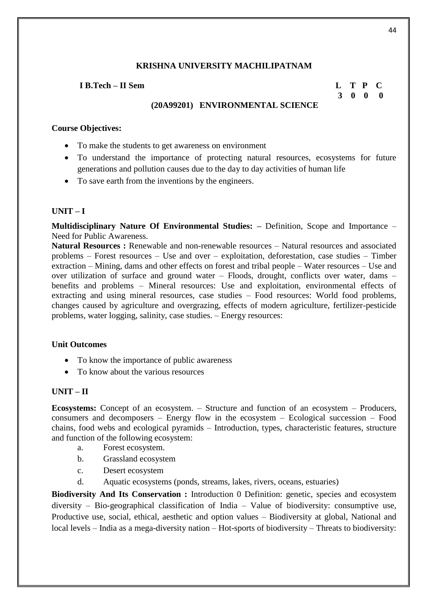# **I B.Tech – II Sem L T P C**

# **3 0 0 0**

# **(20A99201) ENVIRONMENTAL SCIENCE**

## **Course Objectives:**

- To make the students to get awareness on environment
- To understand the importance of protecting natural resources, ecosystems for future generations and pollution causes due to the day to day activities of human life
- To save earth from the inventions by the engineers.

#### $UNIT - I$

**Multidisciplinary Nature Of Environmental Studies: –** Definition, Scope and Importance – Need for Public Awareness.

**Natural Resources :** Renewable and non-renewable resources – Natural resources and associated problems – Forest resources – Use and over – exploitation, deforestation, case studies – Timber extraction – Mining, dams and other effects on forest and tribal people – Water resources – Use and over utilization of surface and ground water – Floods, drought, conflicts over water, dams – benefits and problems – Mineral resources: Use and exploitation, environmental effects of extracting and using mineral resources, case studies – Food resources: World food problems, changes caused by agriculture and overgrazing, effects of modern agriculture, fertilizer-pesticide problems, water logging, salinity, case studies. – Energy resources:

#### **Unit Outcomes**

- To know the importance of public awareness
- To know about the various resources

# **UNIT – II**

**Ecosystems:** Concept of an ecosystem. – Structure and function of an ecosystem – Producers, consumers and decomposers – Energy flow in the ecosystem – Ecological succession – Food chains, food webs and ecological pyramids – Introduction, types, characteristic features, structure and function of the following ecosystem:

- a. Forest ecosystem.
- b. Grassland ecosystem
- c. Desert ecosystem
- d. Aquatic ecosystems (ponds, streams, lakes, rivers, oceans, estuaries)

**Biodiversity And Its Conservation :** Introduction 0 Definition: genetic, species and ecosystem diversity – Bio-geographical classification of India – Value of biodiversity: consumptive use, Productive use, social, ethical, aesthetic and option values – Biodiversity at global, National and local levels – India as a mega-diversity nation – Hot-sports of biodiversity – Threats to biodiversity: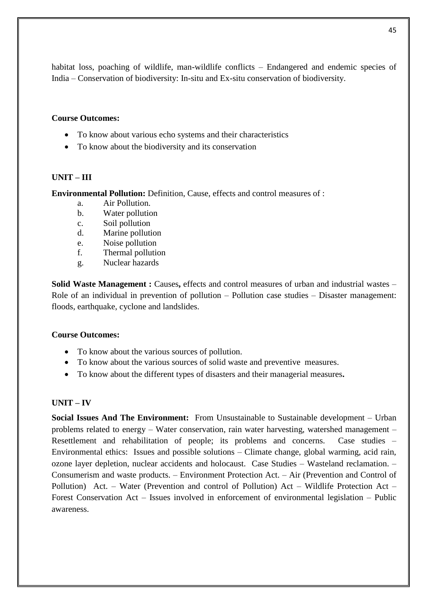habitat loss, poaching of wildlife, man-wildlife conflicts – Endangered and endemic species of India – Conservation of biodiversity: In-situ and Ex-situ conservation of biodiversity.

# **Course Outcomes:**

- To know about various echo systems and their characteristics
- To know about the biodiversity and its conservation

# **UNIT – III**

**Environmental Pollution:** Definition, Cause, effects and control measures of :

- a. Air Pollution.
- b. Water pollution
- c. Soil pollution
- d. Marine pollution
- e. Noise pollution
- f. Thermal pollution
- g. Nuclear hazards

**Solid Waste Management :** Causes, effects and control measures of urban and industrial wastes – Role of an individual in prevention of pollution – Pollution case studies – Disaster management: floods, earthquake, cyclone and landslides.

# **Course Outcomes:**

- To know about the various sources of pollution.
- To know about the various sources of solid waste and preventive measures.
- To know about the different types of disasters and their managerial measures**.**

# **UNIT – IV**

**Social Issues And The Environment:** From Unsustainable to Sustainable development – Urban problems related to energy – Water conservation, rain water harvesting, watershed management – Resettlement and rehabilitation of people; its problems and concerns. Case studies – Environmental ethics: Issues and possible solutions – Climate change, global warming, acid rain, ozone layer depletion, nuclear accidents and holocaust. Case Studies – Wasteland reclamation. – Consumerism and waste products. – Environment Protection Act. – Air (Prevention and Control of Pollution) Act. – Water (Prevention and control of Pollution) Act – Wildlife Protection Act – Forest Conservation Act – Issues involved in enforcement of environmental legislation – Public awareness.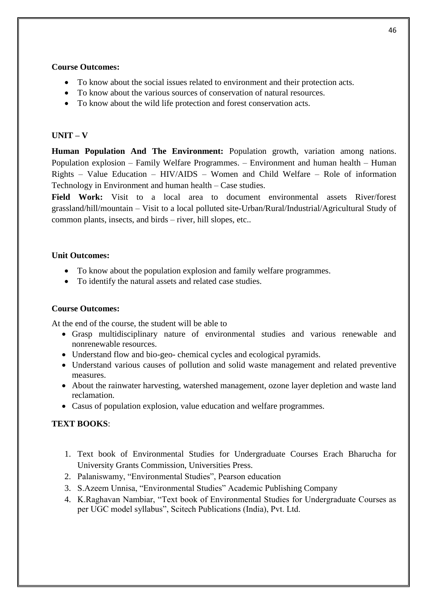# **Course Outcomes:**

- To know about the social issues related to environment and their protection acts.
- To know about the various sources of conservation of natural resources.
- To know about the wild life protection and forest conservation acts.

# $\mathbf{U}$ **NIT**  $-\mathbf{V}$

**Human Population And The Environment:** Population growth, variation among nations. Population explosion – Family Welfare Programmes. – Environment and human health – Human Rights – Value Education – HIV/AIDS – Women and Child Welfare – Role of information Technology in Environment and human health – Case studies.

**Field Work:** Visit to a local area to document environmental assets River/forest grassland/hill/mountain – Visit to a local polluted site-Urban/Rural/Industrial/Agricultural Study of common plants, insects, and birds – river, hill slopes, etc..

# **Unit Outcomes:**

- To know about the population explosion and family welfare programmes.
- To identify the natural assets and related case studies.

# **Course Outcomes:**

At the end of the course, the student will be able to

- Grasp multidisciplinary nature of environmental studies and various renewable and nonrenewable resources.
- Understand flow and bio-geo- chemical cycles and ecological pyramids.
- Understand various causes of pollution and solid waste management and related preventive measures.
- About the rainwater harvesting, watershed management, ozone layer depletion and waste land reclamation.
- Casus of population explosion, value education and welfare programmes.

# **TEXT BOOKS**:

- 1. Text book of Environmental Studies for Undergraduate Courses Erach Bharucha for University Grants Commission, Universities Press.
- 2. Palaniswamy, "Environmental Studies", Pearson education
- 3. S.Azeem Unnisa, "Environmental Studies" Academic Publishing Company
- 4. K.Raghavan Nambiar, "Text book of Environmental Studies for Undergraduate Courses as per UGC model syllabus", Scitech Publications (India), Pvt. Ltd.